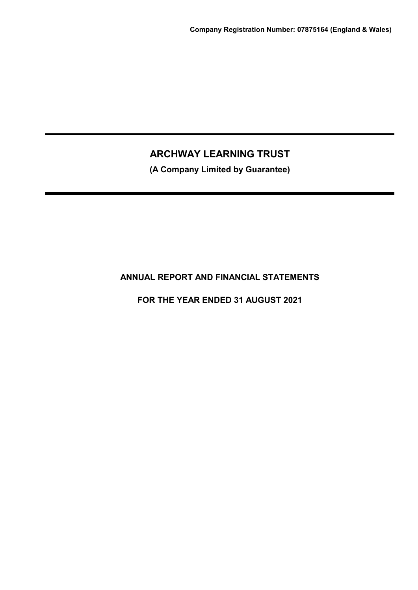**(A Company Limited by Guarantee)**

# **ANNUAL REPORT AND FINANCIAL STATEMENTS**

**FOR THE YEAR ENDED 31 AUGUST 2021**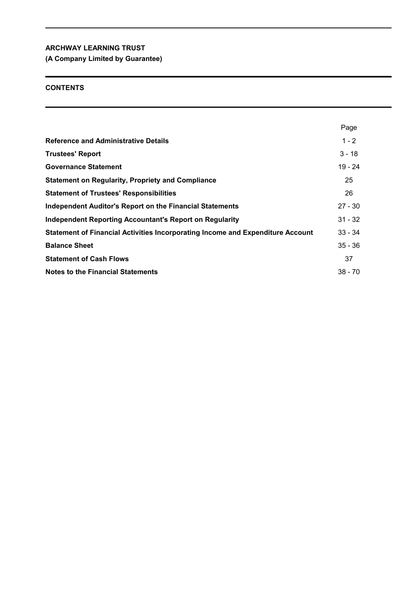**(A Company Limited by Guarantee)**

## **CONTENTS**

|                                                                                | Page      |
|--------------------------------------------------------------------------------|-----------|
| <b>Reference and Administrative Details</b>                                    | $1 - 2$   |
| <b>Trustees' Report</b>                                                        | $3 - 18$  |
| <b>Governance Statement</b>                                                    | $19 - 24$ |
| <b>Statement on Regularity, Propriety and Compliance</b>                       | 25        |
| <b>Statement of Trustees' Responsibilities</b>                                 | 26        |
| <b>Independent Auditor's Report on the Financial Statements</b>                | $27 - 30$ |
| <b>Independent Reporting Accountant's Report on Regularity</b>                 | $31 - 32$ |
| Statement of Financial Activities Incorporating Income and Expenditure Account | $33 - 34$ |
| <b>Balance Sheet</b>                                                           | $35 - 36$ |
| <b>Statement of Cash Flows</b>                                                 | 37        |
| <b>Notes to the Financial Statements</b>                                       | $38 - 70$ |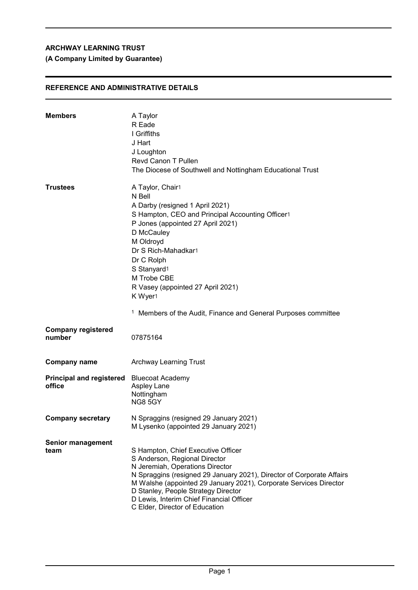# **(A Company Limited by Guarantee)**

## **REFERENCE AND ADMINISTRATIVE DETAILS**

| <b>Members</b>                                      | A Taylor<br>R Eade<br>I Griffiths<br>J Hart<br>J Loughton<br>Revd Canon T Pullen<br>The Diocese of Southwell and Nottingham Educational Trust                                                                                                                                                                                                                                     |
|-----------------------------------------------------|-----------------------------------------------------------------------------------------------------------------------------------------------------------------------------------------------------------------------------------------------------------------------------------------------------------------------------------------------------------------------------------|
| <b>Trustees</b>                                     | A Taylor, Chair1<br>N Bell<br>A Darby (resigned 1 April 2021)<br>S Hampton, CEO and Principal Accounting Officer1<br>P Jones (appointed 27 April 2021)<br>D McCauley<br>M Oldroyd<br>Dr S Rich-Mahadkar1<br>Dr C Rolph<br>S Stanyard1<br>M Trobe CBE<br>R Vasey (appointed 27 April 2021)<br>K Wyer1<br><sup>1</sup> Members of the Audit, Finance and General Purposes committee |
| <b>Company registered</b><br>number                 | 07875164                                                                                                                                                                                                                                                                                                                                                                          |
| <b>Company name</b>                                 | <b>Archway Learning Trust</b>                                                                                                                                                                                                                                                                                                                                                     |
| Principal and registered Bluecoat Academy<br>office | Aspley Lane<br>Nottingham<br><b>NG8 5GY</b>                                                                                                                                                                                                                                                                                                                                       |
| <b>Company secretary</b>                            | N Spraggins (resigned 29 January 2021)<br>M Lysenko (appointed 29 January 2021)                                                                                                                                                                                                                                                                                                   |
| <b>Senior management</b><br>team                    | S Hampton, Chief Executive Officer<br>S Anderson, Regional Director<br>N Jeremiah, Operations Director<br>N Spraggins (resigned 29 January 2021), Director of Corporate Affairs<br>M Walshe (appointed 29 January 2021), Corporate Services Director<br>D Stanley, People Strategy Director<br>D Lewis, Interim Chief Financial Officer<br>C Elder, Director of Education         |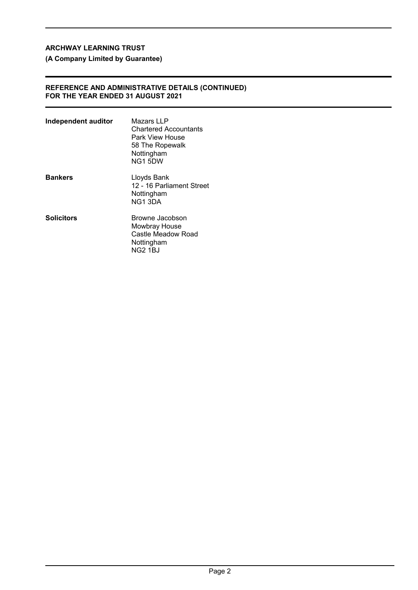**(A Company Limited by Guarantee)**

## **REFERENCE AND ADMINISTRATIVE DETAILS (CONTINUED) FOR THE YEAR ENDED 31 AUGUST 2021**

| Independent auditor | Mazars LLP<br><b>Chartered Accountants</b><br>Park View House<br>58 The Ropewalk<br>Nottingham<br>NG1 5DW |
|---------------------|-----------------------------------------------------------------------------------------------------------|
| <b>Bankers</b>      | Lloyds Bank<br>12 - 16 Parliament Street<br>Nottingham<br>NG13DA                                          |
| <b>Solicitors</b>   | Browne Jacobson<br>Mowbray House<br>Castle Meadow Road<br>Nottingham<br>NG2 1BJ                           |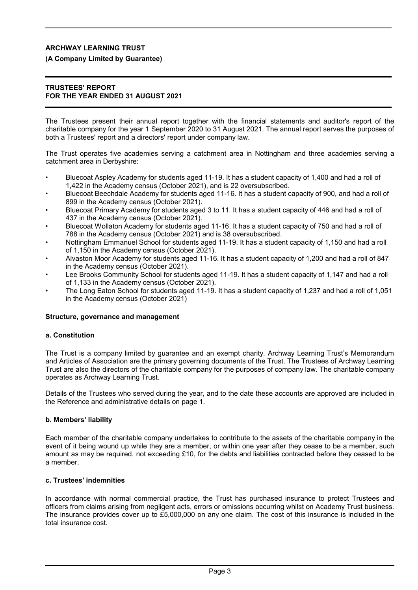## **(A Company Limited by Guarantee)**

## **TRUSTEES' REPORT FOR THE YEAR ENDED 31 AUGUST 2021**

The Trustees present their annual report together with the financial statements and auditor's report of the charitable company for the year 1 September 2020 to 31 August 2021. The annual report serves the purposes of both a Trustees' report and a directors' report under company law.

The Trust operates five academies serving a catchment area in Nottingham and three academies serving a catchment area in Derbyshire:

- Bluecoat Aspley Academy for students aged 11-19. It has a student capacity of 1,400 and had a roll of 1,422 in the Academy census (October 2021), and is 22 oversubscribed.
- Bluecoat Beechdale Academy for students aged 11-16. It has a student capacity of 900, and had a roll of 899 in the Academy census (October 2021).
- Bluecoat Primary Academy for students aged 3 to 11. It has a student capacity of 446 and had a roll of 437 in the Academy census (October 2021).
- Bluecoat Wollaton Academy for students aged 11-16. It has a student capacity of 750 and had a roll of 788 in the Academy census (October 2021) and is 38 oversubscribed.
- Nottingham Emmanuel School for students aged 11-19. It has a student capacity of 1,150 and had a roll of 1,150 in the Academy census (October 2021).
- Alvaston Moor Academy for students aged 11-16. It has a student capacity of 1,200 and had a roll of 847 in the Academy census (October 2021).
- Lee Brooks Community School for students aged 11-19. It has a student capacity of 1,147 and had a roll of 1,133 in the Academy census (October 2021).
- The Long Eaton School for students aged 11-19. It has a student capacity of 1,237 and had a roll of 1,051 in the Academy census (October 2021)

## **Structure, governance and management**

## **a. Constitution**

The Trust is a company limited by guarantee and an exempt charity. Archway Learning Trust's Memorandum and Articles of Association are the primary governing documents of the Trust. The Trustees of Archway Learning Trust are also the directors of the charitable company for the purposes of company law. The charitable company operates as Archway Learning Trust.

Details of the Trustees who served during the year, and to the date these accounts are approved are included in the Reference and administrative details on page 1.

## **b. Members' liability**

Each member of the charitable company undertakes to contribute to the assets of the charitable company in the event of it being wound up while they are a member, or within one year after they cease to be a member, such amount as may be required, not exceeding £10, for the debts and liabilities contracted before they ceased to be a member.

## **c. Trustees' indemnities**

In accordance with normal commercial practice, the Trust has purchased insurance to protect Trustees and officers from claims arising from negligent acts, errors or omissions occurring whilst on Academy Trust business. The insurance provides cover up to £5,000,000 on any one claim. The cost of this insurance is included in the total insurance cost.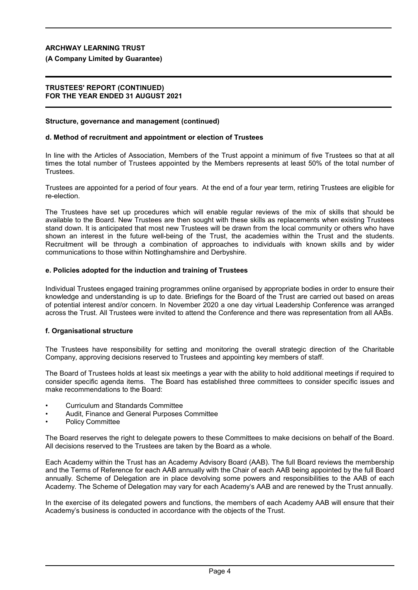## **(A Company Limited by Guarantee)**

## **TRUSTEES' REPORT (CONTINUED) FOR THE YEAR ENDED 31 AUGUST 2021**

#### **Structure, governance and management (continued)**

## **d. Method of recruitment and appointment or election of Trustees**

In line with the Articles of Association, Members of the Trust appoint a minimum of five Trustees so that at all times the total number of Trustees appointed by the Members represents at least 50% of the total number of Trustees.

Trustees are appointed for a period of four years. At the end of a four year term, retiring Trustees are eligible for re-election.

The Trustees have set up procedures which will enable regular reviews of the mix of skills that should be available to the Board. New Trustees are then sought with these skills as replacements when existing Trustees stand down. It is anticipated that most new Trustees will be drawn from the local community or others who have shown an interest in the future well-being of the Trust, the academies within the Trust and the students. Recruitment will be through a combination of approaches to individuals with known skills and by wider communications to those within Nottinghamshire and Derbyshire.

## **e. Policies adopted for the induction and training of Trustees**

Individual Trustees engaged training programmes online organised by appropriate bodies in order to ensure their knowledge and understanding is up to date. Briefings for the Board of the Trust are carried out based on areas of potential interest and/or concern. In November 2020 a one day virtual Leadership Conference was arranged across the Trust. All Trustees were invited to attend the Conference and there was representation from all AABs.

## **f. Organisational structure**

The Trustees have responsibility for setting and monitoring the overall strategic direction of the Charitable Company, approving decisions reserved to Trustees and appointing key members of staff.

The Board of Trustees holds at least six meetings a year with the ability to hold additional meetings if required to consider specific agenda items. The Board has established three committees to consider specific issues and make recommendations to the Board:

- Curriculum and Standards Committee
- Audit, Finance and General Purposes Committee
- Policy Committee

The Board reserves the right to delegate powers to these Committees to make decisions on behalf of the Board. All decisions reserved to the Trustees are taken by the Board as a whole.

Each Academy within the Trust has an Academy Advisory Board (AAB). The full Board reviews the membership and the Terms of Reference for each AAB annually with the Chair of each AAB being appointed by the full Board annually. Scheme of Delegation are in place devolving some powers and responsibilities to the AAB of each Academy. The Scheme of Delegation may vary for each Academy's AAB and are renewed by the Trust annually.

In the exercise of its delegated powers and functions, the members of each Academy AAB will ensure that their Academy's business is conducted in accordance with the objects of the Trust.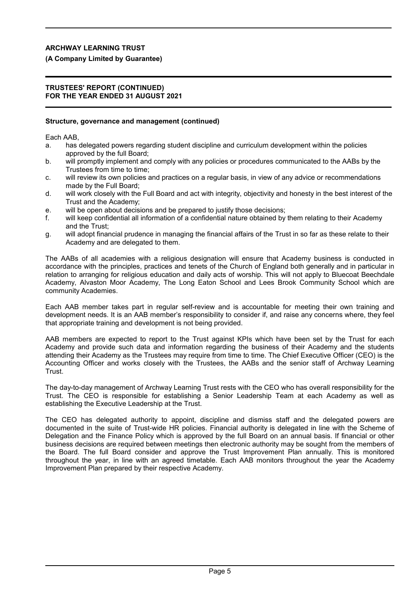## **(A Company Limited by Guarantee)**

## **TRUSTEES' REPORT (CONTINUED) FOR THE YEAR ENDED 31 AUGUST 2021**

## **Structure, governance and management (continued)**

Each AAB,

- a. has delegated powers regarding student discipline and curriculum development within the policies approved by the full Board;
- b. will promptly implement and comply with any policies or procedures communicated to the AABs by the Trustees from time to time;
- c. will review its own policies and practices on a regular basis, in view of any advice or recommendations made by the Full Board;
- d. will work closely with the Full Board and act with integrity, objectivity and honesty in the best interest of the Trust and the Academy;
- e. will be open about decisions and be prepared to justify those decisions;
- f. will keep confidential all information of a confidential nature obtained by them relating to their Academy and the Trust;
- g. will adopt financial prudence in managing the financial affairs of the Trust in so far as these relate to their Academy and are delegated to them.

The AABs of all academies with a religious designation will ensure that Academy business is conducted in accordance with the principles, practices and tenets of the Church of England both generally and in particular in relation to arranging for religious education and daily acts of worship. This will not apply to Bluecoat Beechdale Academy, Alvaston Moor Academy, The Long Eaton School and Lees Brook Community School which are community Academies.

Each AAB member takes part in regular self-review and is accountable for meeting their own training and development needs. It is an AAB member's responsibility to consider if, and raise any concerns where, they feel that appropriate training and development is not being provided.

AAB members are expected to report to the Trust against KPIs which have been set by the Trust for each Academy and provide such data and information regarding the business of their Academy and the students attending their Academy as the Trustees may require from time to time. The Chief Executive Officer (CEO) is the Accounting Officer and works closely with the Trustees, the AABs and the senior staff of Archway Learning Trust.

The day-to-day management of Archway Learning Trust rests with the CEO who has overall responsibility for the Trust. The CEO is responsible for establishing a Senior Leadership Team at each Academy as well as establishing the Executive Leadership at the Trust.

The CEO has delegated authority to appoint, discipline and dismiss staff and the delegated powers are documented in the suite of Trust-wide HR policies. Financial authority is delegated in line with the Scheme of Delegation and the Finance Policy which is approved by the full Board on an annual basis. If financial or other business decisions are required between meetings then electronic authority may be sought from the members of the Board. The full Board consider and approve the Trust Improvement Plan annually. This is monitored throughout the year, in line with an agreed timetable. Each AAB monitors throughout the year the Academy Improvement Plan prepared by their respective Academy.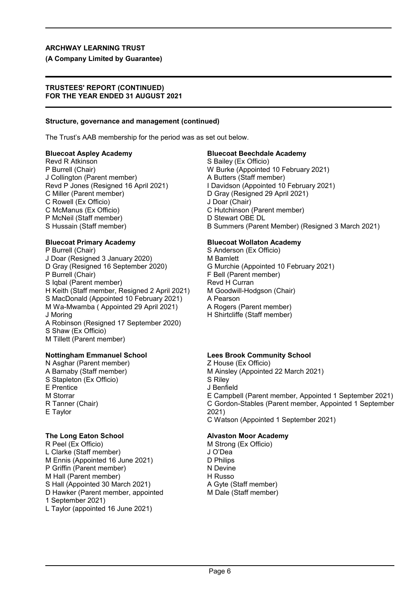## **(A Company Limited by Guarantee)**

## **TRUSTEES' REPORT (CONTINUED) FOR THE YEAR ENDED 31 AUGUST 2021**

## **Structure, governance and management (continued)**

The Trust's AAB membership for the period was as set out below.

Revd R Atkinson **S** Bailey (Ex Officio) P Burrell (Chair) W Burke (Appointed 10 February 2021) J Collington (Parent member) A Butters (Staff member) C Miller (Parent member) D Gray (Resigned 29 April 2021) C Rowell (Ex Officio) J Doar (Chair) C McManus (Ex Officio) C Hutchinson (Parent member) P McNeil (Staff member) D Stewart OBE DL

P Burrell (Chair) S Anderson (Ex Officio) J Doar (Resigned 3 January 2020) M Bamlett<br>D Gray (Resigned 16 September 2020) G Murchie P Burrell (Chair) F Bell (Parent member) S Iqbal (Parent member) Revd H Curran H Keith (Staff member, Resigned 2 April 2021) M Goodwill-Hodgson (Chair) S MacDonald (Appointed 10 February 2021) A Pearson M Wa-Mwamba ( Appointed 29 April 2021) A Rogers (Parent member) J Moring **H** Shirtcliffe (Staff member) A Robinson (Resigned 17 September 2020) S Shaw (Ex Officio) M Tillett (Parent member)

N Asghar (Parent member) Z House (Ex Officio) S Stapleton (Ex Officio) S Riley E Prentice J Benfield E Taylor 2021)

R Peel (Ex Officio) M Strong (Ex Officio) L Clarke (Staff member) J O'Dea M Ennis (Appointed 16 June 2021) D Philips P Griffin (Parent member) N Devine M Hall (Parent member) H Russo S Hall (Appointed 30 March 2021) A Gyte (Staff member) D Hawker (Parent member, appointed M Dale (Staff member) 1 September 2021) L Taylor (appointed 16 June 2021)

## **Bluecoat Aspley Academy Bluecoat Beechdale Academy**

Revd P Jones (Resigned 16 April 2021) I Davidson (Appointed 10 February 2021) S Hussain (Staff member) B Summers (Parent Member) (Resigned 3 March 2021)

## **Bluecoat Primary Academy Bluecoat Wollaton Academy**

G Murchie (Appointed 10 February 2021)

## **Nottingham Emmanuel School Lees Brook Community School**

A Barnaby (Staff member) M Ainsley (Appointed 22 March 2021) M Storrar E Campbell (Parent member, Appointed 1 September 2021) R Tanner (Chair) C Gordon-Stables (Parent member, Appointed 1 September C Watson (Appointed 1 September 2021)

## **The Long Eaton School Alvaston Moor Academy**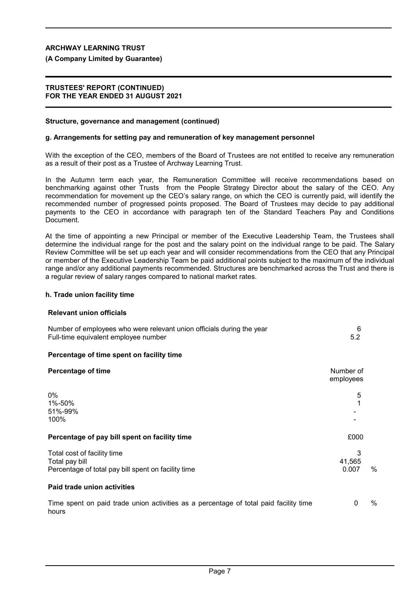## **(A Company Limited by Guarantee)**

## **TRUSTEES' REPORT (CONTINUED) FOR THE YEAR ENDED 31 AUGUST 2021**

## **Structure, governance and management (continued)**

#### **g. Arrangements for setting pay and remuneration of key management personnel**

With the exception of the CEO, members of the Board of Trustees are not entitled to receive any remuneration as a result of their post as a Trustee of Archway Learning Trust.

In the Autumn term each year, the Remuneration Committee will receive recommendations based on benchmarking against other Trusts from the People Strategy Director about the salary of the CEO. Any recommendation for movement up the CEO's salary range, on which the CEO is currently paid, will identify the recommended number of progressed points proposed. The Board of Trustees may decide to pay additional payments to the CEO in accordance with paragraph ten of the Standard Teachers Pay and Conditions Document.

At the time of appointing a new Principal or member of the Executive Leadership Team, the Trustees shall determine the individual range for the post and the salary point on the individual range to be paid. The Salary Review Committee will be set up each year and will consider recommendations from the CEO that any Principal or member of the Executive Leadership Team be paid additional points subject to the maximum of the individual range and/or any additional payments recommended. Structures are benchmarked across the Trust and there is a regular review of salary ranges compared to national market rates.

#### **h. Trade union facility time**

#### **Relevant union officials**

| Number of employees who were relevant union officials during the year<br>Full-time equivalent employee number | 6<br>5.2               |   |
|---------------------------------------------------------------------------------------------------------------|------------------------|---|
| Percentage of time spent on facility time                                                                     |                        |   |
| <b>Percentage of time</b>                                                                                     | Number of<br>employees |   |
| $0\%$<br>1%-50%<br>51%-99%<br>100%                                                                            | 5                      |   |
| Percentage of pay bill spent on facility time                                                                 | £000                   |   |
| Total cost of facility time<br>Total pay bill<br>Percentage of total pay bill spent on facility time          | 3<br>41.565<br>0.007   | % |
| Paid trade union activities                                                                                   |                        |   |
| Time spent on paid trade union activities as a percentage of total paid facility time<br>hours                | 0                      | % |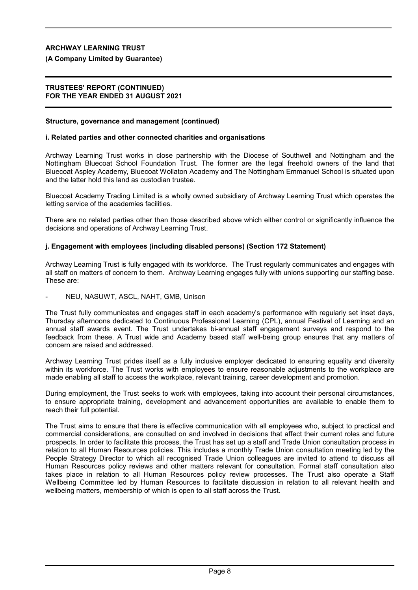## **(A Company Limited by Guarantee)**

## **TRUSTEES' REPORT (CONTINUED) FOR THE YEAR ENDED 31 AUGUST 2021**

## **Structure, governance and management (continued)**

## **i. Related parties and other connected charities and organisations**

Archway Learning Trust works in close partnership with the Diocese of Southwell and Nottingham and the Nottingham Bluecoat School Foundation Trust. The former are the legal freehold owners of the land that Bluecoat Aspley Academy, Bluecoat Wollaton Academy and The Nottingham Emmanuel School is situated upon and the latter hold this land as custodian trustee.

Bluecoat Academy Trading Limited is a wholly owned subsidiary of Archway Learning Trust which operates the letting service of the academies facilities.

There are no related parties other than those described above which either control or significantly influence the decisions and operations of Archway Learning Trust.

## **j. Engagement with employees (including disabled persons) (Section 172 Statement)**

Archway Learning Trust is fully engaged with its workforce. The Trust regularly communicates and engages with all staff on matters of concern to them. Archway Learning engages fully with unions supporting our staffing base. These are:

NEU, NASUWT, ASCL, NAHT, GMB, Unison

The Trust fully communicates and engages staff in each academy's performance with regularly set inset days, Thursday afternoons dedicated to Continuous Professional Learning (CPL), annual Festival of Learning and an annual staff awards event. The Trust undertakes bi-annual staff engagement surveys and respond to the feedback from these. A Trust wide and Academy based staff well-being group ensures that any matters of concern are raised and addressed.

Archway Learning Trust prides itself as a fully inclusive employer dedicated to ensuring equality and diversity within its workforce. The Trust works with employees to ensure reasonable adjustments to the workplace are made enabling all staff to access the workplace, relevant training, career development and promotion.

During employment, the Trust seeks to work with employees, taking into account their personal circumstances, to ensure appropriate training, development and advancement opportunities are available to enable them to reach their full potential.

The Trust aims to ensure that there is effective communication with all employees who, subject to practical and commercial considerations, are consulted on and involved in decisions that affect their current roles and future prospects. In order to facilitate this process, the Trust has set up a staff and Trade Union consultation process in relation to all Human Resources policies. This includes a monthly Trade Union consultation meeting led by the People Strategy Director to which all recognised Trade Union colleagues are invited to attend to discuss all Human Resources policy reviews and other matters relevant for consultation. Formal staff consultation also takes place in relation to all Human Resources policy review processes. The Trust also operate a Staff Wellbeing Committee led by Human Resources to facilitate discussion in relation to all relevant health and wellbeing matters, membership of which is open to all staff across the Trust.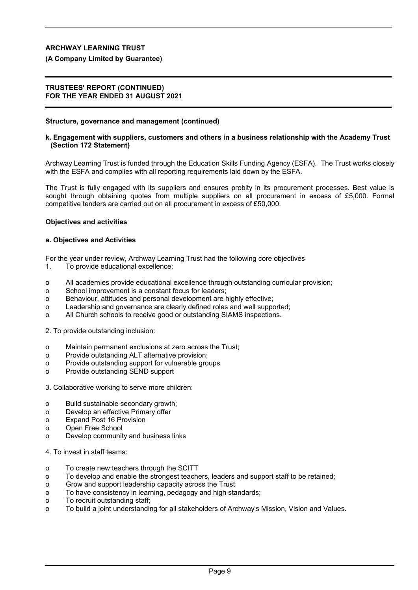## **(A Company Limited by Guarantee)**

## **TRUSTEES' REPORT (CONTINUED) FOR THE YEAR ENDED 31 AUGUST 2021**

#### **Structure, governance and management (continued)**

#### **k. Engagement with suppliers, customers and others in a business relationship with the Academy Trust (Section 172 Statement)**

Archway Learning Trust is funded through the Education Skills Funding Agency (ESFA). The Trust works closely with the ESFA and complies with all reporting requirements laid down by the ESFA.

The Trust is fully engaged with its suppliers and ensures probity in its procurement processes. Best value is sought through obtaining quotes from multiple suppliers on all procurement in excess of £5,000. Formal competitive tenders are carried out on all procurement in excess of £50,000.

#### **Objectives and activities**

## **a. Objectives and Activities**

For the year under review, Archway Learning Trust had the following core objectives

- 1. To provide educational excellence:
- o All academies provide educational excellence through outstanding curricular provision;
- o School improvement is a constant focus for leaders;
- o Behaviour, attitudes and personal development are highly effective;
- o Leadership and governance are clearly defined roles and well supported;
- o All Church schools to receive good or outstanding SIAMS inspections.

2. To provide outstanding inclusion:

- o Maintain permanent exclusions at zero across the Trust;
- o Provide outstanding ALT alternative provision;
- o Provide outstanding support for vulnerable groups
- o Provide outstanding SEND support
- 3. Collaborative working to serve more children:
- o Build sustainable secondary growth;
- o Develop an effective Primary offer
- o Expand Post 16 Provision
- o Open Free School
- o Develop community and business links
- 4. To invest in staff teams:
- o To create new teachers through the SCITT
- o To develop and enable the strongest teachers, leaders and support staff to be retained;
- o Grow and support leadership capacity across the Trust
- o To have consistency in learning, pedagogy and high standards;
- o To recruit outstanding staff;
- o To build a joint understanding for all stakeholders of Archway's Mission, Vision and Values.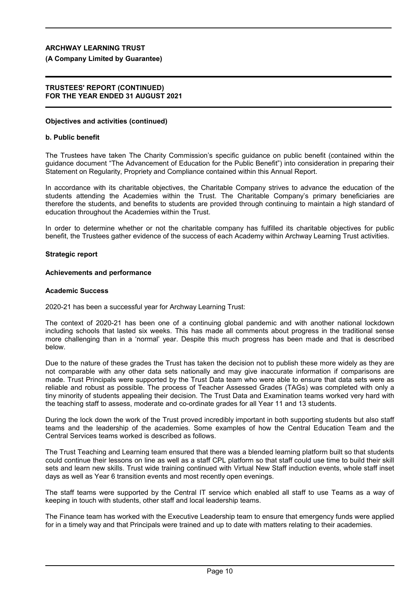**(A Company Limited by Guarantee)**

## **TRUSTEES' REPORT (CONTINUED) FOR THE YEAR ENDED 31 AUGUST 2021**

## **Objectives and activities (continued)**

#### **b. Public benefit**

The Trustees have taken The Charity Commission's specific guidance on public benefit (contained within the guidance document "The Advancement of Education for the Public Benefit") into consideration in preparing their Statement on Regularity, Propriety and Compliance contained within this Annual Report.

In accordance with its charitable objectives, the Charitable Company strives to advance the education of the students attending the Academies within the Trust. The Charitable Company's primary beneficiaries are therefore the students, and benefits to students are provided through continuing to maintain a high standard of education throughout the Academies within the Trust.

In order to determine whether or not the charitable company has fulfilled its charitable objectives for public benefit, the Trustees gather evidence of the success of each Academy within Archway Learning Trust activities.

## **Strategic report**

#### **Achievements and performance**

## **Academic Success**

2020-21 has been a successful year for Archway Learning Trust:

The context of 2020-21 has been one of a continuing global pandemic and with another national lockdown including schools that lasted six weeks. This has made all comments about progress in the traditional sense more challenging than in a 'normal' year. Despite this much progress has been made and that is described below.

Due to the nature of these grades the Trust has taken the decision not to publish these more widely as they are not comparable with any other data sets nationally and may give inaccurate information if comparisons are made. Trust Principals were supported by the Trust Data team who were able to ensure that data sets were as reliable and robust as possible. The process of Teacher Assessed Grades (TAGs) was completed with only a tiny minority of students appealing their decision. The Trust Data and Examination teams worked very hard with the teaching staff to assess, moderate and co-ordinate grades for all Year 11 and 13 students.

During the lock down the work of the Trust proved incredibly important in both supporting students but also staff teams and the leadership of the academies. Some examples of how the Central Education Team and the Central Services teams worked is described as follows.

The Trust Teaching and Learning team ensured that there was a blended learning platform built so that students could continue their lessons on line as well as a staff CPL platform so that staff could use time to build their skill sets and learn new skills. Trust wide training continued with Virtual New Staff induction events, whole staff inset days as well as Year 6 transition events and most recently open evenings.

The staff teams were supported by the Central IT service which enabled all staff to use Teams as a way of keeping in touch with students, other staff and local leadership teams.

The Finance team has worked with the Executive Leadership team to ensure that emergency funds were applied for in a timely way and that Principals were trained and up to date with matters relating to their academies.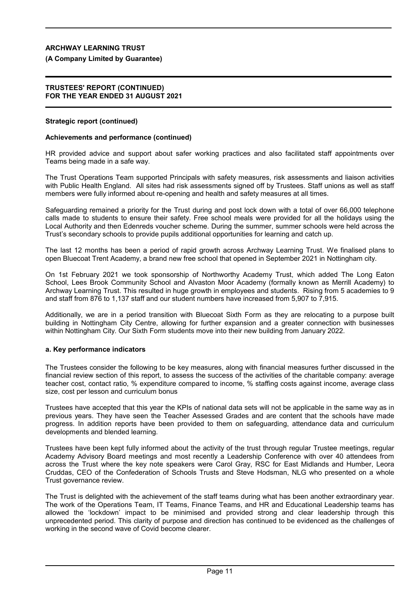## **(A Company Limited by Guarantee)**

#### **TRUSTEES' REPORT (CONTINUED) FOR THE YEAR ENDED 31 AUGUST 2021**

## **Strategic report (continued)**

## **Achievements and performance (continued)**

HR provided advice and support about safer working practices and also facilitated staff appointments over Teams being made in a safe way.

The Trust Operations Team supported Principals with safety measures, risk assessments and liaison activities with Public Health England. All sites had risk assessments signed off by Trustees. Staff unions as well as staff members were fully informed about re-opening and health and safety measures at all times.

Safeguarding remained a priority for the Trust during and post lock down with a total of over 66,000 telephone calls made to students to ensure their safety. Free school meals were provided for all the holidays using the Local Authority and then Edenreds voucher scheme. During the summer, summer schools were held across the Trust's secondary schools to provide pupils additional opportunities for learning and catch up.

The last 12 months has been a period of rapid growth across Archway Learning Trust. We finalised plans to open Bluecoat Trent Academy, a brand new free school that opened in September 2021 in Nottingham city.

On 1st February 2021 we took sponsorship of Northworthy Academy Trust, which added The Long Eaton School, Lees Brook Community School and Alvaston Moor Academy (formally known as Merrill Academy) to Archway Learning Trust. This resulted in huge growth in employees and students. Rising from 5 academies to 9 and staff from 876 to 1,137 staff and our student numbers have increased from 5,907 to 7,915.

Additionally, we are in a period transition with Bluecoat Sixth Form as they are relocating to a purpose built building in Nottingham City Centre, allowing for further expansion and a greater connection with businesses within Nottingham City. Our Sixth Form students move into their new building from January 2022.

## **a. Key performance indicators**

The Trustees consider the following to be key measures, along with financial measures further discussed in the financial review section of this report, to assess the success of the activities of the charitable company: average teacher cost, contact ratio, % expenditure compared to income, % staffing costs against income, average class size, cost per lesson and curriculum bonus

Trustees have accepted that this year the KPIs of national data sets will not be applicable in the same way as in previous years. They have seen the Teacher Assessed Grades and are content that the schools have made progress. In addition reports have been provided to them on safeguarding, attendance data and curriculum developments and blended learning.

Trustees have been kept fully informed about the activity of the trust through regular Trustee meetings, regular Academy Advisory Board meetings and most recently a Leadership Conference with over 40 attendees from across the Trust where the key note speakers were Carol Gray, RSC for East Midlands and Humber, Leora Cruddas, CEO of the Confederation of Schools Trusts and Steve Hodsman, NLG who presented on a whole Trust governance review.

The Trust is delighted with the achievement of the staff teams during what has been another extraordinary year. The work of the Operations Team, IT Teams, Finance Teams, and HR and Educational Leadership teams has allowed the 'lockdown' impact to be minimised and provided strong and clear leadership through this unprecedented period. This clarity of purpose and direction has continued to be evidenced as the challenges of working in the second wave of Covid become clearer.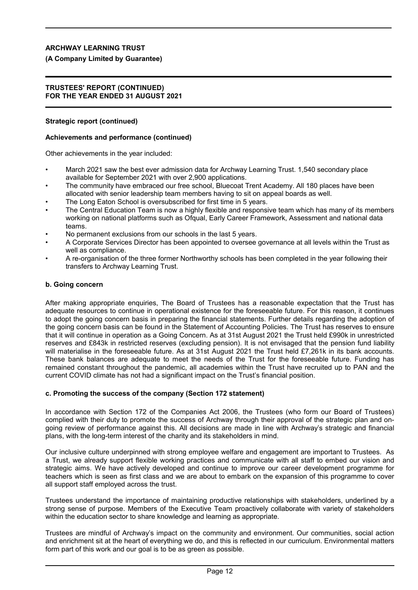## **(A Company Limited by Guarantee)**

#### **TRUSTEES' REPORT (CONTINUED) FOR THE YEAR ENDED 31 AUGUST 2021**

## **Strategic report (continued)**

## **Achievements and performance (continued)**

Other achievements in the year included:

- March 2021 saw the best ever admission data for Archway Learning Trust. 1,540 secondary place available for September 2021 with over 2,900 applications.
- The community have embraced our free school, Bluecoat Trent Academy. All 180 places have been allocated with senior leadership team members having to sit on appeal boards as well.
- The Long Eaton School is oversubscribed for first time in 5 years.
- The Central Education Team is now a highly flexible and responsive team which has many of its members working on national platforms such as Ofqual, Early Career Framework, Assessment and national data teams.
- No permanent exclusions from our schools in the last 5 years.
- A Corporate Services Director has been appointed to oversee governance at all levels within the Trust as well as compliance.
- A re-organisation of the three former Northworthy schools has been completed in the year following their transfers to Archway Learning Trust.

## **b. Going concern**

After making appropriate enquiries, The Board of Trustees has a reasonable expectation that the Trust has adequate resources to continue in operational existence for the foreseeable future. For this reason, it continues to adopt the going concern basis in preparing the financial statements. Further details regarding the adoption of the going concern basis can be found in the Statement of Accounting Policies. The Trust has reserves to ensure that it will continue in operation as a Going Concern. As at 31st August 2021 the Trust held £990k in unrestricted reserves and £843k in restricted reserves (excluding pension). It is not envisaged that the pension fund liability will materialise in the foreseeable future. As at 31st August 2021 the Trust held £7,261k in its bank accounts. These bank balances are adequate to meet the needs of the Trust for the foreseeable future. Funding has remained constant throughout the pandemic, all academies within the Trust have recruited up to PAN and the current COVID climate has not had a significant impact on the Trust's financial position.

## **c. Promoting the success of the company (Section 172 statement)**

In accordance with Section 172 of the Companies Act 2006, the Trustees (who form our Board of Trustees) complied with their duty to promote the success of Archway through their approval of the strategic plan and ongoing review of performance against this. All decisions are made in line with Archway's strategic and financial plans, with the long-term interest of the charity and its stakeholders in mind.

Our inclusive culture underpinned with strong employee welfare and engagement are important to Trustees. As a Trust, we already support flexible working practices and communicate with all staff to embed our vision and strategic aims. We have actively developed and continue to improve our career development programme for teachers which is seen as first class and we are about to embark on the expansion of this programme to cover all support staff employed across the trust.

Trustees understand the importance of maintaining productive relationships with stakeholders, underlined by a strong sense of purpose. Members of the Executive Team proactively collaborate with variety of stakeholders within the education sector to share knowledge and learning as appropriate.

Trustees are mindful of Archway's impact on the community and environment. Our communities, social action and enrichment sit at the heart of everything we do, and this is reflected in our curriculum. Environmental matters form part of this work and our goal is to be as green as possible.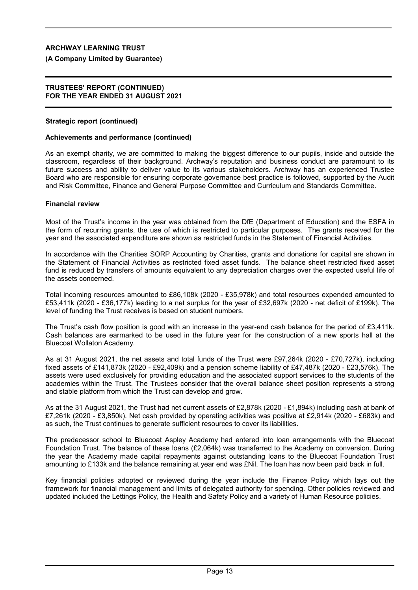## **(A Company Limited by Guarantee)**

#### **TRUSTEES' REPORT (CONTINUED) FOR THE YEAR ENDED 31 AUGUST 2021**

## **Strategic report (continued)**

## **Achievements and performance (continued)**

As an exempt charity, we are committed to making the biggest difference to our pupils, inside and outside the classroom, regardless of their background. Archway's reputation and business conduct are paramount to its future success and ability to deliver value to its various stakeholders. Archway has an experienced Trustee Board who are responsible for ensuring corporate governance best practice is followed, supported by the Audit and Risk Committee, Finance and General Purpose Committee and Curriculum and Standards Committee.

## **Financial review**

Most of the Trust's income in the year was obtained from the DfE (Department of Education) and the ESFA in the form of recurring grants, the use of which is restricted to particular purposes. The grants received for the year and the associated expenditure are shown as restricted funds in the Statement of Financial Activities.

In accordance with the Charities SORP Accounting by Charities, grants and donations for capital are shown in the Statement of Financial Activities as restricted fixed asset funds. The balance sheet restricted fixed asset fund is reduced by transfers of amounts equivalent to any depreciation charges over the expected useful life of the assets concerned.

Total incoming resources amounted to £86,108k (2020 - £35,978k) and total resources expended amounted to £53,411k (2020 - £36,177k) leading to a net surplus for the year of £32,697k (2020 - net deficit of £199k). The level of funding the Trust receives is based on student numbers.

The Trust's cash flow position is good with an increase in the year-end cash balance for the period of £3,411k. Cash balances are earmarked to be used in the future year for the construction of a new sports hall at the Bluecoat Wollaton Academy.

As at 31 August 2021, the net assets and total funds of the Trust were £97,264k (2020 - £70,727k), including fixed assets of £141,873k (2020 - £92,409k) and a pension scheme liability of £47,487k (2020 - £23,576k). The assets were used exclusively for providing education and the associated support services to the students of the academies within the Trust. The Trustees consider that the overall balance sheet position represents a strong and stable platform from which the Trust can develop and grow.

As at the 31 August 2021, the Trust had net current assets of £2,878k (2020 - £1,894k) including cash at bank of £7,261k (2020 - £3,850k). Net cash provided by operating activities was positive at £2,914k (2020 - £683k) and as such, the Trust continues to generate sufficient resources to cover its liabilities.

The predecessor school to Bluecoat Aspley Academy had entered into loan arrangements with the Bluecoat Foundation Trust. The balance of these loans (£2,064k) was transferred to the Academy on conversion. During the year the Academy made capital repayments against outstanding loans to the Bluecoat Foundation Trust amounting to £133k and the balance remaining at year end was £Nil. The loan has now been paid back in full.

Key financial policies adopted or reviewed during the year include the Finance Policy which lays out the framework for financial management and limits of delegated authority for spending. Other policies reviewed and updated included the Lettings Policy, the Health and Safety Policy and a variety of Human Resource policies.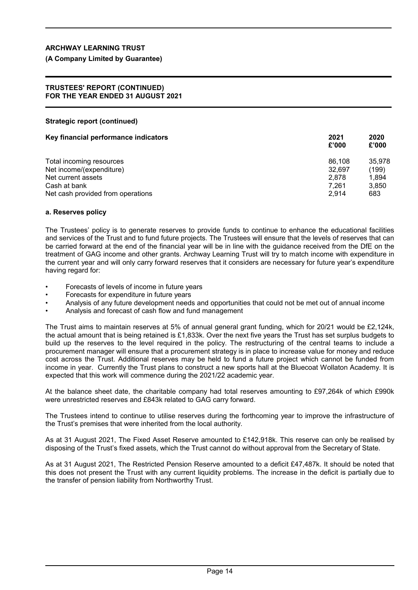## **(A Company Limited by Guarantee)**

#### **TRUSTEES' REPORT (CONTINUED) FOR THE YEAR ENDED 31 AUGUST 2021**

## **Strategic report (continued)**

| Key financial performance indicators | 2021<br>£'000 | 2020<br>£'000 |
|--------------------------------------|---------------|---------------|
| Total incoming resources             | 86.108        | 35.978        |
| Net income/(expenditure)             | 32.697        | (199)         |
| Net current assets                   | 2.878         | 1.894         |
| Cash at bank                         | 7.261         | 3,850         |
| Net cash provided from operations    | 2.914         | 683           |

## **a. Reserves policy**

The Trustees' policy is to generate reserves to provide funds to continue to enhance the educational facilities and services of the Trust and to fund future projects. The Trustees will ensure that the levels of reserves that can be carried forward at the end of the financial year will be in line with the guidance received from the DfE on the treatment of GAG income and other grants. Archway Learning Trust will try to match income with expenditure in the current year and will only carry forward reserves that it considers are necessary for future year's expenditure having regard for:

- Forecasts of levels of income in future years
- Forecasts for expenditure in future years
- Analysis of any future development needs and opportunities that could not be met out of annual income
- Analysis and forecast of cash flow and fund management

The Trust aims to maintain reserves at 5% of annual general grant funding, which for 20/21 would be £2,124k, the actual amount that is being retained is £1,833k. Over the next five years the Trust has set surplus budgets to build up the reserves to the level required in the policy. The restructuring of the central teams to include a procurement manager will ensure that a procurement strategy is in place to increase value for money and reduce cost across the Trust. Additional reserves may be held to fund a future project which cannot be funded from income in year. Currently the Trust plans to construct a new sports hall at the Bluecoat Wollaton Academy. It is expected that this work will commence during the 2021/22 academic year.

At the balance sheet date, the charitable company had total reserves amounting to £97,264k of which £990k were unrestricted reserves and £843k related to GAG carry forward.

The Trustees intend to continue to utilise reserves during the forthcoming year to improve the infrastructure of the Trust's premises that were inherited from the local authority.

As at 31 August 2021, The Fixed Asset Reserve amounted to £142,918k. This reserve can only be realised by disposing of the Trust's fixed assets, which the Trust cannot do without approval from the Secretary of State.

As at 31 August 2021, The Restricted Pension Reserve amounted to a deficit £47,487k. It should be noted that this does not present the Trust with any current liquidity problems. The increase in the deficit is partially due to the transfer of pension liability from Northworthy Trust.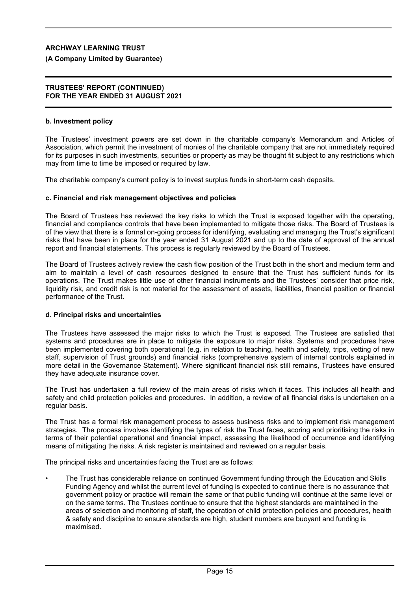## **(A Company Limited by Guarantee)**

#### **TRUSTEES' REPORT (CONTINUED) FOR THE YEAR ENDED 31 AUGUST 2021**

## **b. Investment policy**

The Trustees' investment powers are set down in the charitable company's Memorandum and Articles of Association, which permit the investment of monies of the charitable company that are not immediately required for its purposes in such investments, securities or property as may be thought fit subject to any restrictions which may from time to time be imposed or required by law.

The charitable company's current policy is to invest surplus funds in short-term cash deposits.

## **c. Financial and risk management objectives and policies**

The Board of Trustees has reviewed the key risks to which the Trust is exposed together with the operating, financial and compliance controls that have been implemented to mitigate those risks. The Board of Trustees is of the view that there is a formal on-going process for identifying, evaluating and managing the Trust's significant risks that have been in place for the year ended 31 August 2021 and up to the date of approval of the annual report and financial statements. This process is regularly reviewed by the Board of Trustees.

The Board of Trustees actively review the cash flow position of the Trust both in the short and medium term and aim to maintain a level of cash resources designed to ensure that the Trust has sufficient funds for its operations. The Trust makes little use of other financial instruments and the Trustees' consider that price risk, liquidity risk, and credit risk is not material for the assessment of assets, liabilities, financial position or financial performance of the Trust.

#### **d. Principal risks and uncertainties**

The Trustees have assessed the major risks to which the Trust is exposed. The Trustees are satisfied that systems and procedures are in place to mitigate the exposure to major risks. Systems and procedures have been implemented covering both operational (e.g. in relation to teaching, health and safety, trips, vetting of new staff, supervision of Trust grounds) and financial risks (comprehensive system of internal controls explained in more detail in the Governance Statement). Where significant financial risk still remains, Trustees have ensured they have adequate insurance cover.

The Trust has undertaken a full review of the main areas of risks which it faces. This includes all health and safety and child protection policies and procedures. In addition, a review of all financial risks is undertaken on a regular basis.

The Trust has a formal risk management process to assess business risks and to implement risk management strategies. The process involves identifying the types of risk the Trust faces, scoring and prioritising the risks in terms of their potential operational and financial impact, assessing the likelihood of occurrence and identifying means of mitigating the risks. A risk register is maintained and reviewed on a regular basis.

The principal risks and uncertainties facing the Trust are as follows:

• The Trust has considerable reliance on continued Government funding through the Education and Skills Funding Agency and whilst the current level of funding is expected to continue there is no assurance that government policy or practice will remain the same or that public funding will continue at the same level or on the same terms. The Trustees continue to ensure that the highest standards are maintained in the areas of selection and monitoring of staff, the operation of child protection policies and procedures, health & safety and discipline to ensure standards are high, student numbers are buoyant and funding is maximised.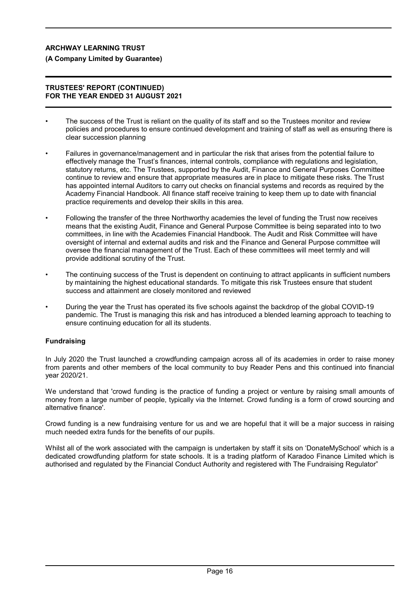## **(A Company Limited by Guarantee)**

## **TRUSTEES' REPORT (CONTINUED) FOR THE YEAR ENDED 31 AUGUST 2021**

- The success of the Trust is reliant on the quality of its staff and so the Trustees monitor and review policies and procedures to ensure continued development and training of staff as well as ensuring there is clear succession planning
- Failures in governance/management and in particular the risk that arises from the potential failure to effectively manage the Trust's finances, internal controls, compliance with regulations and legislation, statutory returns, etc. The Trustees, supported by the Audit, Finance and General Purposes Committee continue to review and ensure that appropriate measures are in place to mitigate these risks. The Trust has appointed internal Auditors to carry out checks on financial systems and records as required by the Academy Financial Handbook. All finance staff receive training to keep them up to date with financial practice requirements and develop their skills in this area.
- Following the transfer of the three Northworthy academies the level of funding the Trust now receives means that the existing Audit, Finance and General Purpose Committee is being separated into to two committees, in line with the Academies Financial Handbook. The Audit and Risk Committee will have oversight of internal and external audits and risk and the Finance and General Purpose committee will oversee the financial management of the Trust. Each of these committees will meet termly and will provide additional scrutiny of the Trust.
- The continuing success of the Trust is dependent on continuing to attract applicants in sufficient numbers by maintaining the highest educational standards. To mitigate this risk Trustees ensure that student success and attainment are closely monitored and reviewed
- During the year the Trust has operated its five schools against the backdrop of the global COVID-19 pandemic. The Trust is managing this risk and has introduced a blended learning approach to teaching to ensure continuing education for all its students.

## **Fundraising**

In July 2020 the Trust launched a crowdfunding campaign across all of its academies in order to raise money from parents and other members of the local community to buy Reader Pens and this continued into financial year 2020/21.

We understand that 'crowd funding is the practice of funding a project or venture by raising small amounts of money from a large number of people, typically via the Internet. Crowd funding is a form of crowd sourcing and alternative finance'.

Crowd funding is a new fundraising venture for us and we are hopeful that it will be a major success in raising much needed extra funds for the benefits of our pupils.

Whilst all of the work associated with the campaign is undertaken by staff it sits on 'DonateMySchool' which is a dedicated crowdfunding platform for state schools. It is a trading platform of Karadoo Finance Limited which is authorised and regulated by the Financial Conduct Authority and registered with The Fundraising Regulator"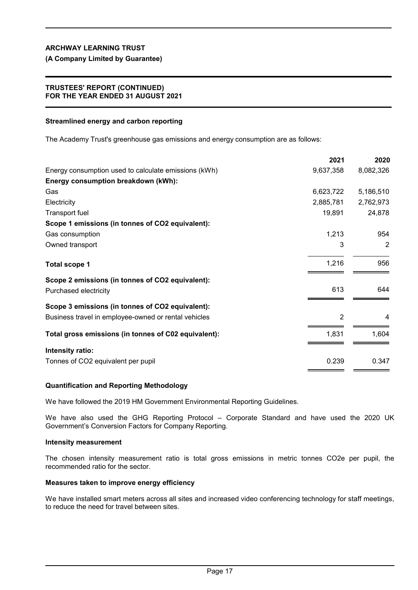**(A Company Limited by Guarantee)**

## **TRUSTEES' REPORT (CONTINUED) FOR THE YEAR ENDED 31 AUGUST 2021**

## **Streamlined energy and carbon reporting**

The Academy Trust's greenhouse gas emissions and energy consumption are as follows:

|                                                      | LUL I     | LULU           |
|------------------------------------------------------|-----------|----------------|
| Energy consumption used to calculate emissions (kWh) | 9,637,358 | 8,082,326      |
| Energy consumption breakdown (kWh):                  |           |                |
| Gas                                                  | 6,623,722 | 5,186,510      |
| Electricity                                          | 2,885,781 | 2,762,973      |
| Transport fuel                                       | 19,891    | 24,878         |
| Scope 1 emissions (in tonnes of CO2 equivalent):     |           |                |
| Gas consumption                                      | 1,213     | 954            |
| Owned transport                                      | 3         | $\overline{2}$ |
| <b>Total scope 1</b>                                 | 1,216     | 956            |
| Scope 2 emissions (in tonnes of CO2 equivalent):     |           |                |
| Purchased electricity                                | 613       | 644            |
| Scope 3 emissions (in tonnes of CO2 equivalent):     |           |                |
| Business travel in employee-owned or rental vehicles | 2         | 4              |
| Total gross emissions (in tonnes of C02 equivalent): | 1,831     | 1,604          |
| Intensity ratio:                                     |           |                |
| Tonnes of CO2 equivalent per pupil                   | 0.239     | 0.347          |

**2021 2020**

## **Quantification and Reporting Methodology**

We have followed the 2019 HM Government Environmental Reporting Guidelines.

We have also used the GHG Reporting Protocol – Corporate Standard and have used the 2020 UK Government's Conversion Factors for Company Reporting.

#### **Intensity measurement**

The chosen intensity measurement ratio is total gross emissions in metric tonnes CO2e per pupil, the recommended ratio for the sector.

#### **Measures taken to improve energy efficiency**

We have installed smart meters across all sites and increased video conferencing technology for staff meetings, to reduce the need for travel between sites.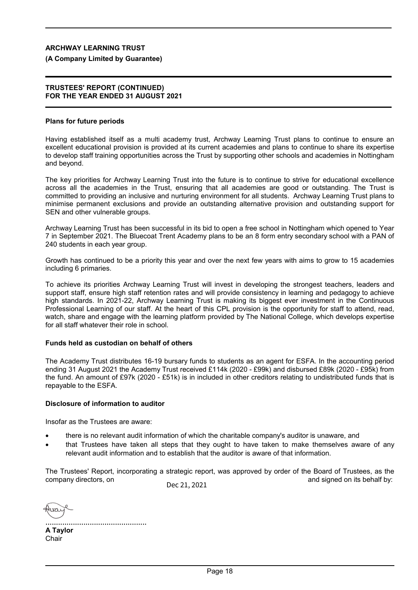## **(A Company Limited by Guarantee)**

#### **TRUSTEES' REPORT (CONTINUED) FOR THE YEAR ENDED 31 AUGUST 2021**

## **Plans for future periods**

Having established itself as a multi academy trust, Archway Learning Trust plans to continue to ensure an excellent educational provision is provided at its current academies and plans to continue to share its expertise to develop staff training opportunities across the Trust by supporting other schools and academies in Nottingham and beyond.

The key priorities for Archway Learning Trust into the future is to continue to strive for educational excellence across all the academies in the Trust, ensuring that all academies are good or outstanding. The Trust is committed to providing an inclusive and nurturing environment for all students. Archway Learning Trust plans to minimise permanent exclusions and provide an outstanding alternative provision and outstanding support for SEN and other vulnerable groups.

Archway Learning Trust has been successful in its bid to open a free school in Nottingham which opened to Year 7 in September 2021. The Bluecoat Trent Academy plans to be an 8 form entry secondary school with a PAN of 240 students in each year group.

Growth has continued to be a priority this year and over the next few years with aims to grow to 15 academies including 6 primaries.

To achieve its priorities Archway Learning Trust will invest in developing the strongest teachers, leaders and support staff, ensure high staff retention rates and will provide consistency in learning and pedagogy to achieve high standards. In 2021-22, Archway Learning Trust is making its biggest ever investment in the Continuous Professional Learning of our staff. At the heart of this CPL provision is the opportunity for staff to attend, read, watch, share and engage with the learning platform provided by The National College, which develops expertise for all staff whatever their role in school.

## **Funds held as custodian on behalf of others**

The Academy Trust distributes 16-19 bursary funds to students as an agent for ESFA. In the accounting period ending 31 August 2021 the Academy Trust received £114k (2020 - £99k) and disbursed £89k (2020 - £95k) from the fund. An amount of £97k (2020 - £51k) is in included in other creditors relating to undistributed funds that is repayable to the ESFA.

## **Disclosure of information to auditor**

Insofar as the Trustees are aware:

- there is no relevant audit information of which the charitable company's auditor is unaware, and
- that Trustees have taken all steps that they ought to have taken to make themselves aware of any relevant audit information and to establish that the auditor is aware of that information.

The Trustees' Report, incorporating a strategic report, was approved by order of the Board of Trustees, as the company directors, on  $\blacksquare$ Dec 21, 2021

 $137$ 

................................................ **A Taylor Chair**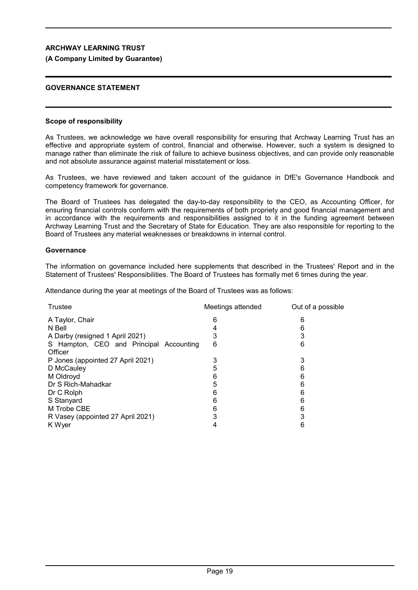## **(A Company Limited by Guarantee)**

## **GOVERNANCE STATEMENT**

## **Scope of responsibility**

As Trustees, we acknowledge we have overall responsibility for ensuring that Archway Learning Trust has an effective and appropriate system of control, financial and otherwise. However, such a system is designed to manage rather than eliminate the risk of failure to achieve business objectives, and can provide only reasonable and not absolute assurance against material misstatement or loss.

As Trustees, we have reviewed and taken account of the guidance in DfE's Governance Handbook and competency framework for governance.

The Board of Trustees has delegated the day-to-day responsibility to the CEO, as Accounting Officer, for ensuring financial controls conform with the requirements of both propriety and good financial management and in accordance with the requirements and responsibilities assigned to it in the funding agreement between Archway Learning Trust and the Secretary of State for Education. They are also responsible for reporting to the Board of Trustees any material weaknesses or breakdowns in internal control.

## **Governance**

The information on governance included here supplements that described in the Trustees' Report and in the Statement of Trustees' Responsibilities. The Board of Trustees has formally met 6 times during the year.

Attendance during the year at meetings of the Board of Trustees was as follows:

| Trustee                                 | Meetings attended | Out of a possible |
|-----------------------------------------|-------------------|-------------------|
| A Taylor, Chair                         | n                 | 6                 |
| N Bell                                  |                   |                   |
| A Darby (resigned 1 April 2021)         |                   |                   |
| S Hampton, CEO and Principal Accounting | 6                 | 6                 |
| Officer                                 |                   |                   |
| P Jones (appointed 27 April 2021)       |                   | 3                 |
| D McCauley                              | 5                 |                   |
| M Oldroyd                               | n                 |                   |
| Dr S Rich-Mahadkar                      | 5                 | 6                 |
| Dr C Rolph                              | n                 | n                 |
| S Stanyard                              |                   | 6                 |
| M Trobe CBE                             |                   |                   |
| R Vasey (appointed 27 April 2021)       |                   |                   |
| K Wyer                                  |                   | h                 |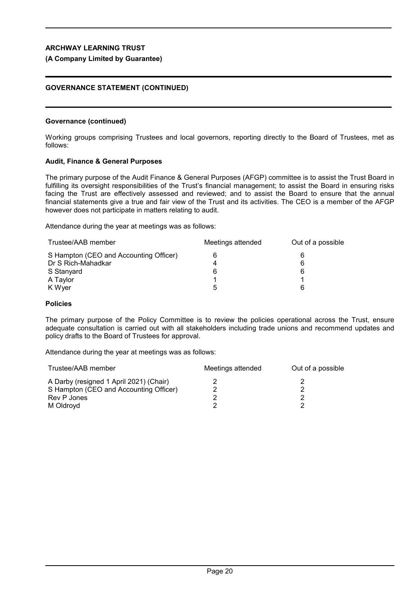## **(A Company Limited by Guarantee)**

## **GOVERNANCE STATEMENT (CONTINUED)**

#### **Governance (continued)**

Working groups comprising Trustees and local governors, reporting directly to the Board of Trustees, met as follows:

## **Audit, Finance & General Purposes**

The primary purpose of the Audit Finance & General Purposes (AFGP) committee is to assist the Trust Board in fulfilling its oversight responsibilities of the Trust's financial management; to assist the Board in ensuring risks facing the Trust are effectively assessed and reviewed; and to assist the Board to ensure that the annual financial statements give a true and fair view of the Trust and its activities. The CEO is a member of the AFGP however does not participate in matters relating to audit.

Attendance during the year at meetings was as follows:

| Meetings attended | Out of a possible |
|-------------------|-------------------|
|                   |                   |
|                   | 6                 |
| 6                 | 6                 |
|                   |                   |
| h                 |                   |
|                   |                   |

## **Policies**

The primary purpose of the Policy Committee is to review the policies operational across the Trust, ensure adequate consultation is carried out with all stakeholders including trade unions and recommend updates and policy drafts to the Board of Trustees for approval.

Attendance during the year at meetings was as follows:

| Trustee/AAB member                      | Meetings attended | Out of a possible |
|-----------------------------------------|-------------------|-------------------|
| A Darby (resigned 1 April 2021) (Chair) |                   |                   |
| S Hampton (CEO and Accounting Officer)  |                   |                   |
| Rev P Jones                             |                   |                   |
| M Oldroyd                               |                   |                   |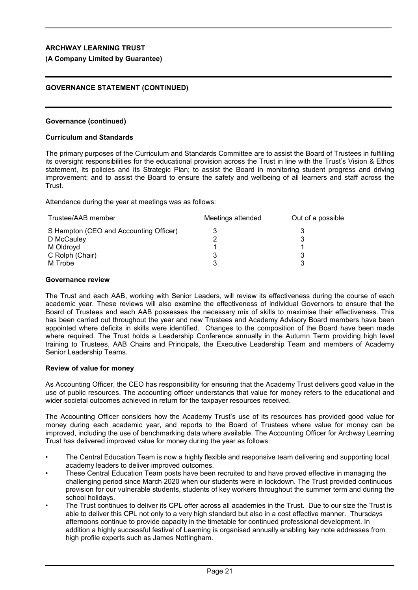## **(A Company Limited by Guarantee)**

## **GOVERNANCE STATEMENT (CONTINUED)**

## **Governance (continued)**

## **Curriculum and Standards**

The primary purposes of the Curriculum and Standards Committee are to assist the Board of Trustees in fulfilling its oversight responsibilities for the educational provision across the Trust in line with the Trust's Vision & Ethos statement, its policies and its Strategic Plan; to assist the Board in monitoring student progress and driving improvement; and to assist the Board to ensure the safety and wellbeing of all learners and staff across the **Trust** 

Attendance during the year at meetings was as follows:

| Trustee/AAB member                     | Meetings attended | Out of a possible |
|----------------------------------------|-------------------|-------------------|
| S Hampton (CEO and Accounting Officer) |                   |                   |
| D McCauley                             |                   |                   |
| M Oldroyd                              |                   |                   |
| C Rolph (Chair)                        |                   |                   |
| M Trobe                                |                   |                   |

#### **Governance review**

The Trust and each AAB, working with Senior Leaders, will review its effectiveness during the course of each academic year. These reviews will also examine the effectiveness of individual Governors to ensure that the Board of Trustees and each AAB possesses the necessary mix of skills to maximise their effectiveness. This has been carried out throughout the year and new Trustees and Academy Advisory Board members have been appointed where deficits in skills were identified. Changes to the composition of the Board have been made where required. The Trust holds a Leadership Conference annually in the Autumn Term providing high level training to Trustees, AAB Chairs and Principals, the Executive Leadership Team and members of Academy Senior Leadership Teams.

## **Review of value for money**

As Accounting Officer, the CEO has responsibility for ensuring that the Academy Trust delivers good value in the use of public resources. The accounting officer understands that value for money refers to the educational and wider societal outcomes achieved in return for the taxpayer resources received.

The Accounting Officer considers how the Academy Trust's use of its resources has provided good value for money during each academic year, and reports to the Board of Trustees where value for money can be improved, including the use of benchmarking data where available. The Accounting Officer for Archway Learning Trust has delivered improved value for money during the year as follows:

- The Central Education Team is now a highly flexible and responsive team delivering and supporting local academy leaders to deliver improved outcomes.
- These Central Education Team posts have been recruited to and have proved effective in managing the challenging period since March 2020 when our students were in lockdown. The Trust provided continuous provision for our vulnerable students, students of key workers throughout the summer term and during the school holidays.
- The Trust continues to deliver its CPL offer across all academies in the Trust. Due to our size the Trust is able to deliver this CPL not only to a very high standard but also in a cost effective manner. Thursdays afternoons continue to provide capacity in the timetable for continued professional development. In addition a highly successful festival of Learning is organised annually enabling key note addresses from high profile experts such as James Nottingham.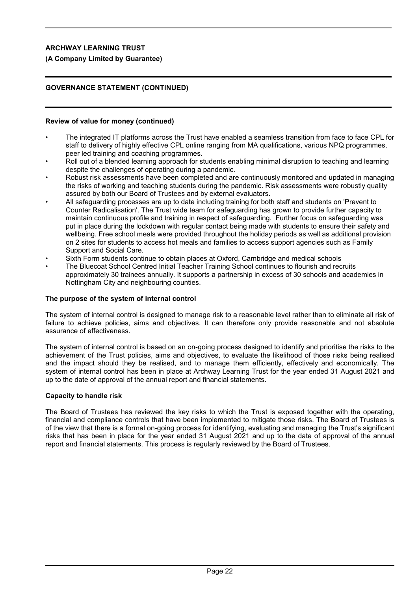## **(A Company Limited by Guarantee)**

## **GOVERNANCE STATEMENT (CONTINUED)**

## **Review of value for money (continued)**

- The integrated IT platforms across the Trust have enabled a seamless transition from face to face CPL for staff to delivery of highly effective CPL online ranging from MA qualifications, various NPQ programmes, peer led training and coaching programmes.
- Roll out of a blended learning approach for students enabling minimal disruption to teaching and learning despite the challenges of operating during a pandemic.
- Robust risk assessments have been completed and are continuously monitored and updated in managing the risks of working and teaching students during the pandemic. Risk assessments were robustly quality assured by both our Board of Trustees and by external evaluators.
- All safeguarding processes are up to date including training for both staff and students on 'Prevent to Counter Radicalisation'. The Trust wide team for safeguarding has grown to provide further capacity to maintain continuous profile and training in respect of safeguarding. Further focus on safeguarding was put in place during the lockdown with regular contact being made with students to ensure their safety and wellbeing. Free school meals were provided throughout the holiday periods as well as additional provision on 2 sites for students to access hot meals and families to access support agencies such as Family Support and Social Care.
- Sixth Form students continue to obtain places at Oxford, Cambridge and medical schools
- The Bluecoat School Centred Initial Teacher Training School continues to flourish and recruits approximately 30 trainees annually. It supports a partnership in excess of 30 schools and academies in Nottingham City and neighbouring counties.

## **The purpose of the system of internal control**

The system of internal control is designed to manage risk to a reasonable level rather than to eliminate all risk of failure to achieve policies, aims and objectives. It can therefore only provide reasonable and not absolute assurance of effectiveness.

The system of internal control is based on an on-going process designed to identify and prioritise the risks to the achievement of the Trust policies, aims and objectives, to evaluate the likelihood of those risks being realised and the impact should they be realised, and to manage them efficiently, effectively and economically. The system of internal control has been in place at Archway Learning Trust for the year ended 31 August 2021 and up to the date of approval of the annual report and financial statements.

## **Capacity to handle risk**

The Board of Trustees has reviewed the key risks to which the Trust is exposed together with the operating, financial and compliance controls that have been implemented to mitigate those risks. The Board of Trustees is of the view that there is a formal on-going process for identifying, evaluating and managing the Trust's significant risks that has been in place for the year ended 31 August 2021 and up to the date of approval of the annual report and financial statements. This process is regularly reviewed by the Board of Trustees.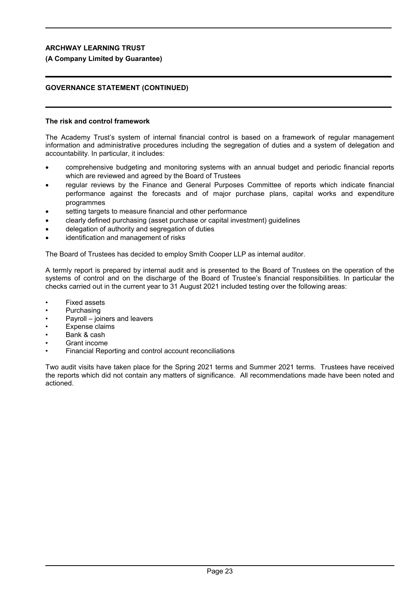## **(A Company Limited by Guarantee)**

## **GOVERNANCE STATEMENT (CONTINUED)**

## **The risk and control framework**

The Academy Trust's system of internal financial control is based on a framework of regular management information and administrative procedures including the segregation of duties and a system of delegation and accountability. In particular, it includes:

- comprehensive budgeting and monitoring systems with an annual budget and periodic financial reports which are reviewed and agreed by the Board of Trustees
- regular reviews by the Finance and General Purposes Committee of reports which indicate financial performance against the forecasts and of major purchase plans, capital works and expenditure programmes
- setting targets to measure financial and other performance
- clearly defined purchasing (asset purchase or capital investment) guidelines
- delegation of authority and segregation of duties
- identification and management of risks

The Board of Trustees has decided to employ Smith Cooper LLP as internal auditor.

A termly report is prepared by internal audit and is presented to the Board of Trustees on the operation of the systems of control and on the discharge of the Board of Trustee's financial responsibilities. In particular the checks carried out in the current year to 31 August 2021 included testing over the following areas:

- Fixed assets
- **Purchasing**
- Payroll joiners and leavers
- Expense claims
- Bank & cash
- Grant income
- Financial Reporting and control account reconciliations

Two audit visits have taken place for the Spring 2021 terms and Summer 2021 terms. Trustees have received the reports which did not contain any matters of significance. All recommendations made have been noted and actioned.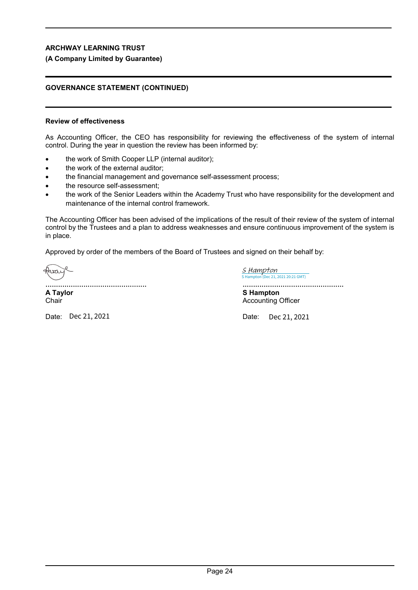## **(A Company Limited by Guarantee)**

## **GOVERNANCE STATEMENT (CONTINUED)**

## **Review of effectiveness**

As Accounting Officer, the CEO has responsibility for reviewing the effectiveness of the system of internal control. During the year in question the review has been informed by:

- the work of Smith Cooper LLP (internal auditor);
- the work of the external auditor;
- the financial management and governance self-assessment process;
- the resource self-assessment;
- the work of the Senior Leaders within the Academy Trust who have responsibility for the development and maintenance of the internal control framework.

The Accounting Officer has been advised of the implications of the result of their review of the system of internal control by the Trustees and a plan to address weaknesses and ensure continuous improvement of the system is in place.

Approved by order of the members of the Board of Trustees and signed on their behalf by:

Hirai

................................................ **A Taylor Chair** 

(Dec 21, 2021 20:21 GMT) [S Hampton](https://mazars.eu1.documents.adobe.com/verifier?tx=CBJCHBCAABAASWO0LH1iImAAo21xCgx_CinNnmIyxzrT)

................................................ **S Hampton**

Accounting Officer

Date: Dec 21, 2021 Date:

Dec 21, 2021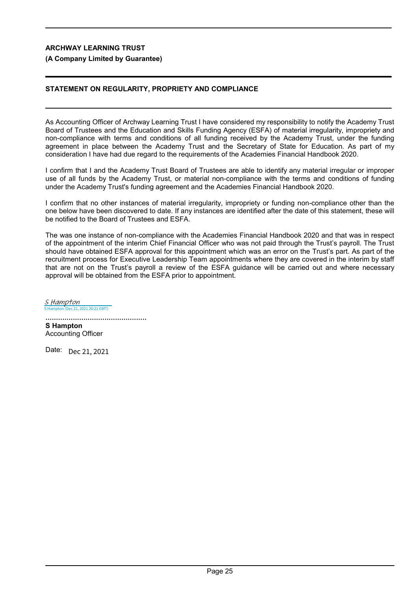## **(A Company Limited by Guarantee)**

## **STATEMENT ON REGULARITY, PROPRIETY AND COMPLIANCE**

As Accounting Officer of Archway Learning Trust I have considered my responsibility to notify the Academy Trust Board of Trustees and the Education and Skills Funding Agency (ESFA) of material irregularity, impropriety and non-compliance with terms and conditions of all funding received by the Academy Trust, under the funding agreement in place between the Academy Trust and the Secretary of State for Education. As part of my consideration I have had due regard to the requirements of the Academies Financial Handbook 2020.

I confirm that I and the Academy Trust Board of Trustees are able to identify any material irregular or improper use of all funds by the Academy Trust, or material non-compliance with the terms and conditions of funding under the Academy Trust's funding agreement and the Academies Financial Handbook 2020.

I confirm that no other instances of material irregularity, impropriety or funding non-compliance other than the one below have been discovered to date. If any instances are identified after the date of this statement, these will be notified to the Board of Trustees and ESFA.

The was one instance of non-compliance with the Academies Financial Handbook 2020 and that was in respect of the appointment of the interim Chief Financial Officer who was not paid through the Trust's payroll. The Trust should have obtained ESFA approval for this appointment which was an error on the Trust's part. As part of the recruitment process for Executive Leadership Team appointments where they are covered in the interim by staff that are not on the Trust's payroll a review of the ESFA guidance will be carried out and where necessary approval will be obtained from the ESFA prior to appointment.

n (Dec 21, 2021 20:21 GMT) [S Hampton](https://mazars.eu1.documents.adobe.com/verifier?tx=CBJCHBCAABAASWO0LH1iImAAo21xCgx_CinNnmIyxzrT)

................................................ **S Hampton** Accounting Officer

Date: Dec 21, 2021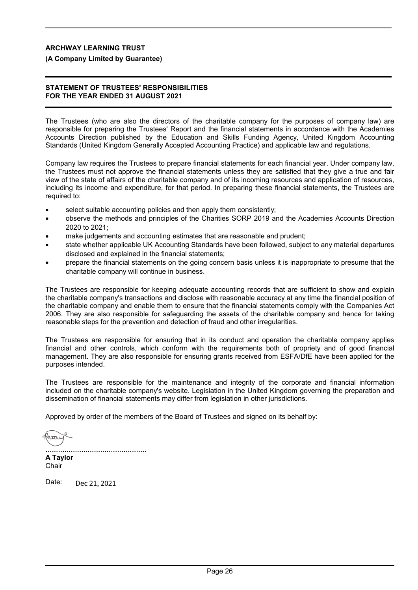## **(A Company Limited by Guarantee)**

## **STATEMENT OF TRUSTEES' RESPONSIBILITIES FOR THE YEAR ENDED 31 AUGUST 2021**

The Trustees (who are also the directors of the charitable company for the purposes of company law) are responsible for preparing the Trustees' Report and the financial statements in accordance with the Academies Accounts Direction published by the Education and Skills Funding Agency, United Kingdom Accounting Standards (United Kingdom Generally Accepted Accounting Practice) and applicable law and regulations.

Company law requires the Trustees to prepare financial statements for each financial year. Under company law, the Trustees must not approve the financial statements unless they are satisfied that they give a true and fair view of the state of affairs of the charitable company and of its incoming resources and application of resources, including its income and expenditure, for that period. In preparing these financial statements, the Trustees are required to:

- select suitable accounting policies and then apply them consistently;
- observe the methods and principles of the Charities SORP 2019 and the Academies Accounts Direction 2020 to 2021;
- make judgements and accounting estimates that are reasonable and prudent;
- state whether applicable UK Accounting Standards have been followed, subject to any material departures disclosed and explained in the financial statements;
- prepare the financial statements on the going concern basis unless it is inappropriate to presume that the charitable company will continue in business.

The Trustees are responsible for keeping adequate accounting records that are sufficient to show and explain the charitable company's transactions and disclose with reasonable accuracy at any time the financial position of the charitable company and enable them to ensure that the financial statements comply with the Companies Act 2006. They are also responsible for safeguarding the assets of the charitable company and hence for taking reasonable steps for the prevention and detection of fraud and other irregularities.

The Trustees are responsible for ensuring that in its conduct and operation the charitable company applies financial and other controls, which conform with the requirements both of propriety and of good financial management. They are also responsible for ensuring grants received from ESFA/DfE have been applied for the purposes intended.

The Trustees are responsible for the maintenance and integrity of the corporate and financial information included on the charitable company's website. Legislation in the United Kingdom governing the preparation and dissemination of financial statements may differ from legislation in other jurisdictions.

Approved by order of the members of the Board of Trustees and signed on its behalf by:

hraí [................................................](https://mazars.eu1.documents.adobe.com/verifier?tx=CBJCHBCAABAASWO0LH1iImAAo21xCgx_CinNnmIyxzrT)

**A Taylor Chair** 

Date: Dec 21, 2021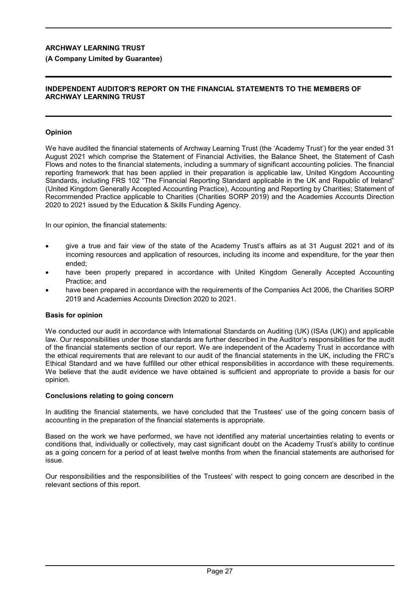## **(A Company Limited by Guarantee)**

## **INDEPENDENT AUDITOR'S REPORT ON THE FINANCIAL STATEMENTS TO THE MEMBERS OF ARCHWAY LEARNING TRUST**

## **Opinion**

We have audited the financial statements of Archway Learning Trust (the 'Academy Trust') for the year ended 31 August 2021 which comprise the Statement of Financial Activities, the Balance Sheet, the Statement of Cash Flows and notes to the financial statements, including a summary of significant accounting policies. The financial reporting framework that has been applied in their preparation is applicable law, United Kingdom Accounting Standards, including FRS 102 "The Financial Reporting Standard applicable in the UK and Republic of Ireland" (United Kingdom Generally Accepted Accounting Practice), Accounting and Reporting by Charities; Statement of Recommended Practice applicable to Charities (Charities SORP 2019) and the Academies Accounts Direction 2020 to 2021 issued by the Education & Skills Funding Agency.

In our opinion, the financial statements:

- give a true and fair view of the state of the Academy Trust's affairs as at 31 August 2021 and of its incoming resources and application of resources, including its income and expenditure, for the year then ended;
- have been properly prepared in accordance with United Kingdom Generally Accepted Accounting Practice; and
- have been prepared in accordance with the requirements of the Companies Act 2006, the Charities SORP 2019 and Academies Accounts Direction 2020 to 2021.

## **Basis for opinion**

We conducted our audit in accordance with International Standards on Auditing (UK) (ISAs (UK)) and applicable law. Our responsibilities under those standards are further described in the Auditor's responsibilities for the audit of the financial statements section of our report. We are independent of the Academy Trust in accordance with the ethical requirements that are relevant to our audit of the financial statements in the UK, including the FRC's Ethical Standard and we have fulfilled our other ethical responsibilities in accordance with these requirements. We believe that the audit evidence we have obtained is sufficient and appropriate to provide a basis for our opinion.

#### **Conclusions relating to going concern**

In auditing the financial statements, we have concluded that the Trustees' use of the going concern basis of accounting in the preparation of the financial statements is appropriate.

Based on the work we have performed, we have not identified any material uncertainties relating to events or conditions that, individually or collectively, may cast significant doubt on the Academy Trust's ability to continue as a going concern for a period of at least twelve months from when the financial statements are authorised for issue.

Our responsibilities and the responsibilities of the Trustees' with respect to going concern are described in the relevant sections of this report.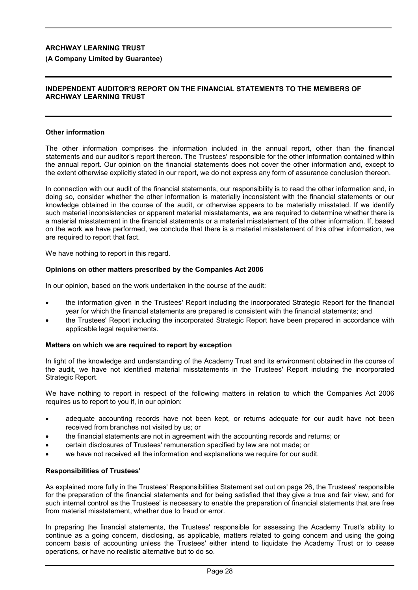## **(A Company Limited by Guarantee)**

## **INDEPENDENT AUDITOR'S REPORT ON THE FINANCIAL STATEMENTS TO THE MEMBERS OF ARCHWAY LEARNING TRUST**

#### **Other information**

The other information comprises the information included in the annual report, other than the financial statements and our auditor's report thereon. The Trustees' responsible for the other information contained within the annual report. Our opinion on the financial statements does not cover the other information and, except to the extent otherwise explicitly stated in our report, we do not express any form of assurance conclusion thereon.

In connection with our audit of the financial statements, our responsibility is to read the other information and, in doing so, consider whether the other information is materially inconsistent with the financial statements or our knowledge obtained in the course of the audit, or otherwise appears to be materially misstated. If we identify such material inconsistencies or apparent material misstatements, we are required to determine whether there is a material misstatement in the financial statements or a material misstatement of the other information. If, based on the work we have performed, we conclude that there is a material misstatement of this other information, we are required to report that fact.

We have nothing to report in this regard.

## **Opinions on other matters prescribed by the Companies Act 2006**

In our opinion, based on the work undertaken in the course of the audit:

- the information given in the Trustees' Report including the incorporated Strategic Report for the financial year for which the financial statements are prepared is consistent with the financial statements; and
- the Trustees' Report including the incorporated Strategic Report have been prepared in accordance with applicable legal requirements.

#### **Matters on which we are required to report by exception**

In light of the knowledge and understanding of the Academy Trust and its environment obtained in the course of the audit, we have not identified material misstatements in the Trustees' Report including the incorporated Strategic Report.

We have nothing to report in respect of the following matters in relation to which the Companies Act 2006 requires us to report to you if, in our opinion:

- adequate accounting records have not been kept, or returns adequate for our audit have not been received from branches not visited by us; or
- the financial statements are not in agreement with the accounting records and returns; or
- certain disclosures of Trustees' remuneration specified by law are not made; or
- we have not received all the information and explanations we require for our audit.

#### **Responsibilities of Trustees'**

As explained more fully in the Trustees' Responsibilities Statement set out on page 26, the Trustees' responsible for the preparation of the financial statements and for being satisfied that they give a true and fair view, and for such internal control as the Trustees' is necessary to enable the preparation of financial statements that are free from material misstatement, whether due to fraud or error.

In preparing the financial statements, the Trustees' responsible for assessing the Academy Trust's ability to continue as a going concern, disclosing, as applicable, matters related to going concern and using the going concern basis of accounting unless the Trustees' either intend to liquidate the Academy Trust or to cease operations, or have no realistic alternative but to do so.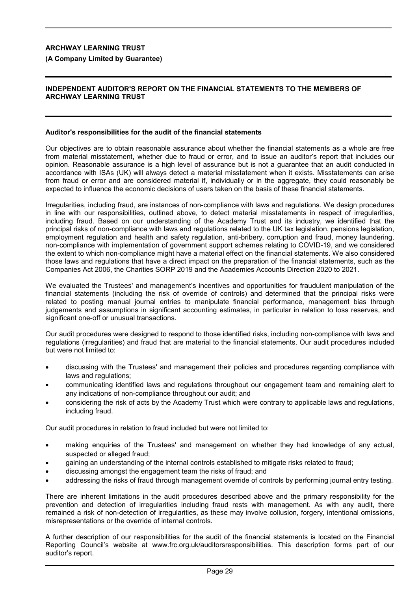## **(A Company Limited by Guarantee)**

## **INDEPENDENT AUDITOR'S REPORT ON THE FINANCIAL STATEMENTS TO THE MEMBERS OF ARCHWAY LEARNING TRUST**

## **Auditor's responsibilities for the audit of the financial statements**

Our objectives are to obtain reasonable assurance about whether the financial statements as a whole are free from material misstatement, whether due to fraud or error, and to issue an auditor's report that includes our opinion. Reasonable assurance is a high level of assurance but is not a guarantee that an audit conducted in accordance with ISAs (UK) will always detect a material misstatement when it exists. Misstatements can arise from fraud or error and are considered material if, individually or in the aggregate, they could reasonably be expected to influence the economic decisions of users taken on the basis of these financial statements.

Irregularities, including fraud, are instances of non-compliance with laws and regulations. We design procedures in line with our responsibilities, outlined above, to detect material misstatements in respect of irregularities, including fraud. Based on our understanding of the Academy Trust and its industry, we identified that the principal risks of non-compliance with laws and regulations related to the UK tax legislation, pensions legislation, employment regulation and health and safety regulation, anti-bribery, corruption and fraud, money laundering, non-compliance with implementation of government support schemes relating to COVID-19, and we considered the extent to which non-compliance might have a material effect on the financial statements. We also considered those laws and regulations that have a direct impact on the preparation of the financial statements, such as the Companies Act 2006, the Charities SORP 2019 and the Academies Accounts Direction 2020 to 2021.

We evaluated the Trustees' and management's incentives and opportunities for fraudulent manipulation of the financial statements (including the risk of override of controls) and determined that the principal risks were related to posting manual journal entries to manipulate financial performance, management bias through judgements and assumptions in significant accounting estimates, in particular in relation to loss reserves, and significant one-off or unusual transactions.

Our audit procedures were designed to respond to those identified risks, including non-compliance with laws and regulations (irregularities) and fraud that are material to the financial statements. Our audit procedures included but were not limited to:

- discussing with the Trustees' and management their policies and procedures regarding compliance with laws and regulations;
- communicating identified laws and regulations throughout our engagement team and remaining alert to any indications of non-compliance throughout our audit; and
- considering the risk of acts by the Academy Trust which were contrary to applicable laws and regulations, including fraud.

Our audit procedures in relation to fraud included but were not limited to:

- making enquiries of the Trustees' and management on whether they had knowledge of any actual, suspected or alleged fraud;
- gaining an understanding of the internal controls established to mitigate risks related to fraud;
- discussing amongst the engagement team the risks of fraud; and
- addressing the risks of fraud through management override of controls by performing journal entry testing.

There are inherent limitations in the audit procedures described above and the primary responsibility for the prevention and detection of irregularities including fraud rests with management. As with any audit, there remained a risk of non-detection of irregularities, as these may involve collusion, forgery, intentional omissions, misrepresentations or the override of internal controls.

A further description of our responsibilities for the audit of the financial statements is located on the Financial Reporting Council's website at www.frc.org.uk/auditorsresponsibilities. This description forms part of our auditor's report.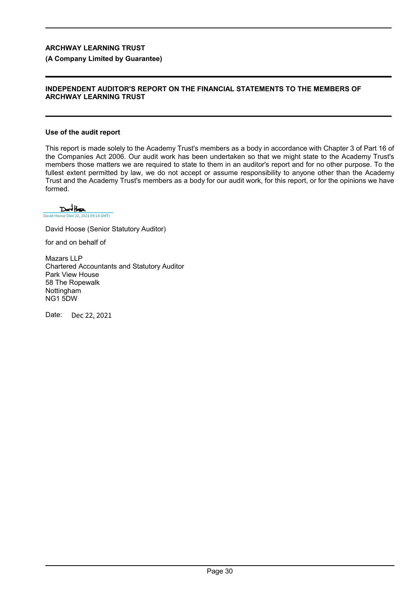## **(A Company Limited by Guarantee)**

#### **INDEPENDENT AUDITOR'S REPORT ON THE FINANCIAL STATEMENTS TO THE MEMBERS OF ARCHWAY LEARNING TRUST**

#### **Use of the audit report**

This report is made solely to the Academy Trust's members as a body in accordance with Chapter 3 of Part 16 of the Companies Act 2006. Our audit work has been undertaken so that we might state to the Academy Trust's members those matters we are required to state to them in an auditor's report and for no other purpose. To the fullest extent permitted by law, we do not accept or assume responsibility to anyone other than the Academy Trust and the Academy Trust's members as a body for our audit work, for this report, or for the opinions we have formed.

 $D$ and Hose [David Hoose \(Dec 22, 2021 09:18 GMT\)](https://mazars.eu1.documents.adobe.com/verifier?tx=CBJCHBCAABAASWO0LH1iImAAo21xCgx_CinNnmIyxzrT)

David Hoose (Senior Statutory Auditor)

for and on behalf of

Mazars LLP Chartered Accountants and Statutory Auditor Park View House 58 The Ropewalk Nottingham NG1 5DW

Date: Dec 22, 2021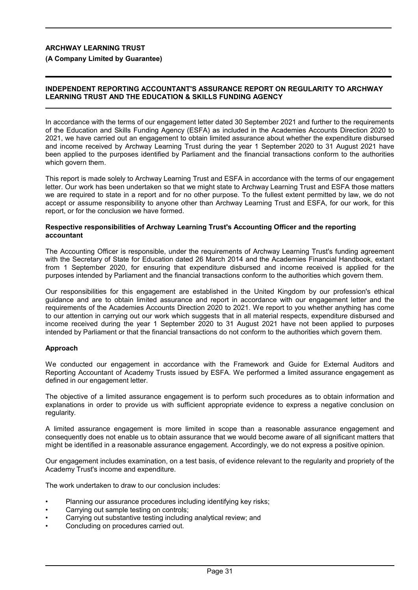**(A Company Limited by Guarantee)**

## **INDEPENDENT REPORTING ACCOUNTANT'S ASSURANCE REPORT ON REGULARITY TO ARCHWAY LEARNING TRUST AND THE EDUCATION & SKILLS FUNDING AGENCY**

In accordance with the terms of our engagement letter dated 30 September 2021 and further to the requirements of the Education and Skills Funding Agency (ESFA) as included in the Academies Accounts Direction 2020 to 2021, we have carried out an engagement to obtain limited assurance about whether the expenditure disbursed and income received by Archway Learning Trust during the year 1 September 2020 to 31 August 2021 have been applied to the purposes identified by Parliament and the financial transactions conform to the authorities which govern them.

This report is made solely to Archway Learning Trust and ESFA in accordance with the terms of our engagement letter. Our work has been undertaken so that we might state to Archway Learning Trust and ESFA those matters we are required to state in a report and for no other purpose. To the fullest extent permitted by law, we do not accept or assume responsibility to anyone other than Archway Learning Trust and ESFA, for our work, for this report, or for the conclusion we have formed.

#### **Respective responsibilities of Archway Learning Trust's Accounting Officer and the reporting accountant**

The Accounting Officer is responsible, under the requirements of Archway Learning Trust's funding agreement with the Secretary of State for Education dated 26 March 2014 and the Academies Financial Handbook, extant from 1 September 2020, for ensuring that expenditure disbursed and income received is applied for the purposes intended by Parliament and the financial transactions conform to the authorities which govern them.

Our responsibilities for this engagement are established in the United Kingdom by our profession's ethical guidance and are to obtain limited assurance and report in accordance with our engagement letter and the requirements of the Academies Accounts Direction 2020 to 2021. We report to you whether anything has come to our attention in carrying out our work which suggests that in all material respects, expenditure disbursed and income received during the year 1 September 2020 to 31 August 2021 have not been applied to purposes intended by Parliament or that the financial transactions do not conform to the authorities which govern them.

## **Approach**

We conducted our engagement in accordance with the Framework and Guide for External Auditors and Reporting Accountant of Academy Trusts issued by ESFA. We performed a limited assurance engagement as defined in our engagement letter.

The objective of a limited assurance engagement is to perform such procedures as to obtain information and explanations in order to provide us with sufficient appropriate evidence to express a negative conclusion on regularity.

A limited assurance engagement is more limited in scope than a reasonable assurance engagement and consequently does not enable us to obtain assurance that we would become aware of all significant matters that might be identified in a reasonable assurance engagement. Accordingly, we do not express a positive opinion.

Our engagement includes examination, on a test basis, of evidence relevant to the regularity and propriety of the Academy Trust's income and expenditure.

The work undertaken to draw to our conclusion includes:

- Planning our assurance procedures including identifying key risks;
- Carrying out sample testing on controls;
- Carrying out substantive testing including analytical review; and
- Concluding on procedures carried out.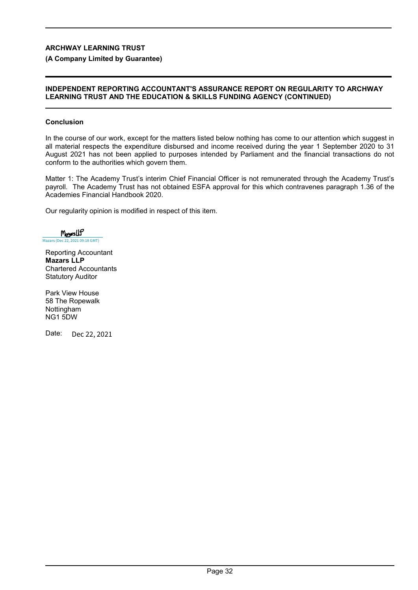## **(A Company Limited by Guarantee)**

## **INDEPENDENT REPORTING ACCOUNTANT'S ASSURANCE REPORT ON REGULARITY TO ARCHWAY LEARNING TRUST AND THE EDUCATION & SKILLS FUNDING AGENCY (CONTINUED)**

## **Conclusion**

In the course of our work, except for the matters listed below nothing has come to our attention which suggest in all material respects the expenditure disbursed and income received during the year 1 September 2020 to 31 August 2021 has not been applied to purposes intended by Parliament and the financial transactions do not conform to the authorities which govern them.

Matter 1: The Academy Trust's interim Chief Financial Officer is not remunerated through the Academy Trust's payroll. The Academy Trust has not obtained ESFA approval for this which contravenes paragraph 1.36 of the Academies Financial Handbook 2020.

Our regularity opinion is modified in respect of this item.

 $M_{\text{gas}}$ [Mazars \(Dec 22, 2021 09:18 GMT\)](https://mazars.eu1.documents.adobe.com/verifier?tx=CBJCHBCAABAASWO0LH1iImAAo21xCgx_CinNnmIyxzrT)

Reporting Accountant **Mazars LLP** Chartered Accountants Statutory Auditor

Park View House 58 The Ropewalk Nottingham NG1 5DW

Date: Dec 22, 2021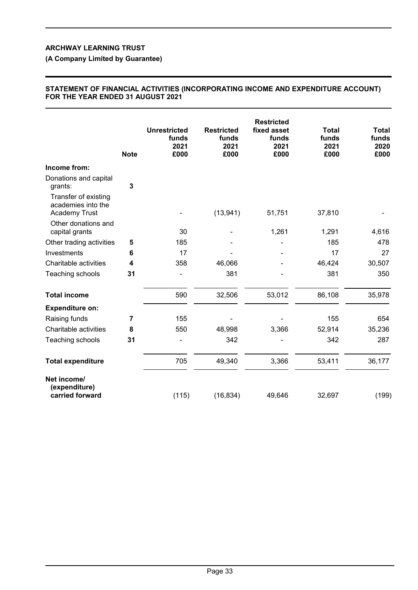## **(A Company Limited by Guarantee)**

## **STATEMENT OF FINANCIAL ACTIVITIES (INCORPORATING INCOME AND EXPENDITURE ACCOUNT) FOR THE YEAR ENDED 31 AUGUST 2021**

|                                                                    | <b>Note</b>  | <b>Unrestricted</b><br>funds<br>2021<br>£000 | <b>Restricted</b><br>funds<br>2021<br>£000 | <b>Restricted</b><br>fixed asset<br>funds<br>2021<br>£000 | <b>Total</b><br>funds<br>2021<br>£000 | <b>Total</b><br>funds<br>2020<br>£000 |
|--------------------------------------------------------------------|--------------|----------------------------------------------|--------------------------------------------|-----------------------------------------------------------|---------------------------------------|---------------------------------------|
| Income from:                                                       |              |                                              |                                            |                                                           |                                       |                                       |
| Donations and capital<br>grants:                                   | $\mathbf{3}$ |                                              |                                            |                                                           |                                       |                                       |
| Transfer of existing<br>academies into the<br><b>Academy Trust</b> |              |                                              | (13, 941)                                  | 51,751                                                    | 37,810                                |                                       |
| Other donations and<br>capital grants                              |              | 30                                           |                                            | 1,261                                                     | 1,291                                 | 4,616                                 |
| Other trading activities                                           | 5            | 185                                          |                                            |                                                           | 185                                   | 478                                   |
| Investments                                                        | 6            | 17                                           |                                            |                                                           | 17                                    | 27                                    |
| Charitable activities                                              | 4            | 358                                          | 46,066                                     |                                                           | 46,424                                | 30,507                                |
| Teaching schools                                                   | 31           |                                              | 381                                        |                                                           | 381                                   | 350                                   |
| <b>Total income</b>                                                |              | 590                                          | 32,506                                     | 53,012                                                    | 86,108                                | 35,978                                |
| <b>Expenditure on:</b>                                             |              |                                              |                                            |                                                           |                                       |                                       |
| Raising funds                                                      | 7            | 155                                          |                                            |                                                           | 155                                   | 654                                   |
| Charitable activities                                              | 8            | 550                                          | 48,998                                     | 3,366                                                     | 52,914                                | 35,236                                |
| Teaching schools                                                   | 31           |                                              | 342                                        |                                                           | 342                                   | 287                                   |
| <b>Total expenditure</b>                                           |              | 705                                          | 49,340                                     | 3,366                                                     | 53,411                                | 36,177                                |
| Net income/<br>(expenditure)<br>carried forward                    |              | (115)                                        | (16, 834)                                  | 49,646                                                    | 32,697                                | (199)                                 |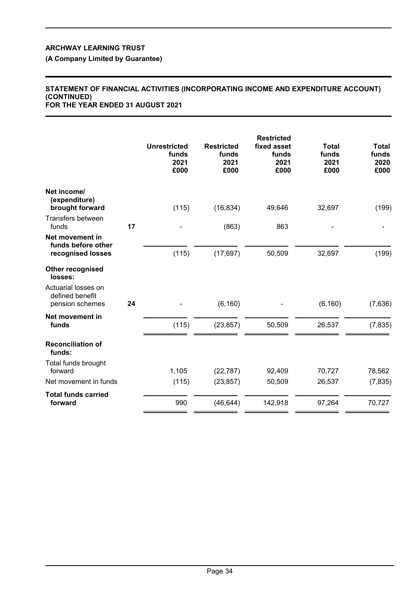**(A Company Limited by Guarantee)**

#### **STATEMENT OF FINANCIAL ACTIVITIES (INCORPORATING INCOME AND EXPENDITURE ACCOUNT) (CONTINUED) FOR THE YEAR ENDED 31 AUGUST 2021**

|                                                            |    | <b>Unrestricted</b><br>funds<br>2021<br>£000 | <b>Restricted</b><br>funds<br>2021<br>£000 | <b>Restricted</b><br>fixed asset<br>funds<br>2021<br>£000 | <b>Total</b><br>funds<br>2021<br>£000 | <b>Total</b><br>funds<br>2020<br>£000 |
|------------------------------------------------------------|----|----------------------------------------------|--------------------------------------------|-----------------------------------------------------------|---------------------------------------|---------------------------------------|
| Net income/<br>(expenditure)<br>brought forward            |    | (115)                                        | (16, 834)                                  | 49,646                                                    | 32,697                                | (199)                                 |
| Transfers between<br>funds                                 | 17 |                                              | (863)                                      | 863                                                       |                                       |                                       |
| Net movement in<br>funds before other<br>recognised losses |    | (115)                                        | (17, 697)                                  | 50,509                                                    | 32,697                                | (199)                                 |
| <b>Other recognised</b><br>losses:                         |    |                                              |                                            |                                                           |                                       |                                       |
| Actuarial losses on<br>defined benefit<br>pension schemes  | 24 |                                              | (6, 160)                                   |                                                           | (6, 160)                              | (7,636)                               |
| Net movement in<br>funds                                   |    | (115)                                        | (23, 857)                                  | 50,509                                                    | 26,537                                | (7, 835)                              |
| <b>Reconciliation of</b><br>funds:                         |    |                                              |                                            |                                                           |                                       |                                       |
| Total funds brought<br>forward                             |    | 1,105                                        | (22, 787)                                  | 92,409                                                    | 70,727                                | 78,562                                |
| Net movement in funds                                      |    | (115)                                        | (23, 857)                                  | 50,509                                                    | 26,537                                | (7, 835)                              |
| <b>Total funds carried</b><br>forward                      |    | 990                                          | (46, 644)                                  | 142,918                                                   | 97,264                                | 70,727                                |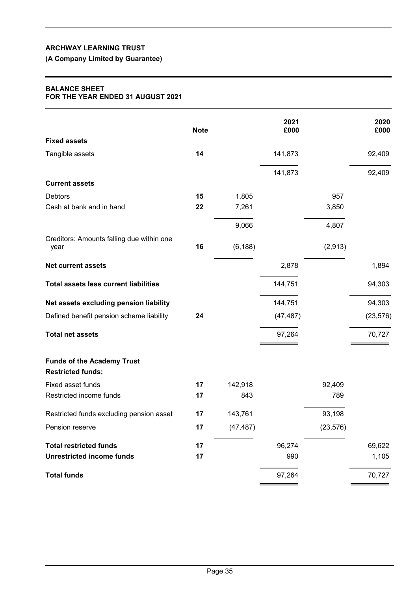# **(A Company Limited by Guarantee)**

## **BALANCE SHEET FOR THE YEAR ENDED 31 AUGUST 2021**

|                                                               | <b>Note</b> |           | 2021<br>£000 |           | 2020<br>£000 |
|---------------------------------------------------------------|-------------|-----------|--------------|-----------|--------------|
| <b>Fixed assets</b>                                           |             |           |              |           |              |
| Tangible assets                                               | 14          |           | 141,873      |           | 92,409       |
|                                                               |             |           | 141,873      |           | 92,409       |
| <b>Current assets</b>                                         |             |           |              |           |              |
| <b>Debtors</b>                                                | 15          | 1,805     |              | 957       |              |
| Cash at bank and in hand                                      | 22          | 7,261     |              | 3,850     |              |
|                                                               |             | 9,066     |              | 4,807     |              |
| Creditors: Amounts falling due within one<br>year             | 16          | (6, 188)  |              | (2,913)   |              |
| <b>Net current assets</b>                                     |             |           | 2,878        |           | 1,894        |
| <b>Total assets less current liabilities</b>                  |             |           | 144,751      |           | 94,303       |
| Net assets excluding pension liability                        |             |           | 144,751      |           | 94,303       |
| Defined benefit pension scheme liability                      | 24          |           | (47, 487)    |           | (23, 576)    |
| <b>Total net assets</b>                                       |             |           | 97,264       |           | 70,727       |
| <b>Funds of the Academy Trust</b><br><b>Restricted funds:</b> |             |           |              |           |              |
| Fixed asset funds                                             | 17          | 142,918   |              | 92,409    |              |
| Restricted income funds                                       | 17          | 843       |              | 789       |              |
| Restricted funds excluding pension asset                      | 17          | 143,761   |              | 93,198    |              |
| Pension reserve                                               | 17          | (47, 487) |              | (23, 576) |              |
| <b>Total restricted funds</b>                                 | 17          |           | 96,274       |           | 69,622       |
| <b>Unrestricted income funds</b>                              | 17          |           | 990          |           | 1,105        |
| <b>Total funds</b>                                            |             |           | 97,264       |           | 70,727       |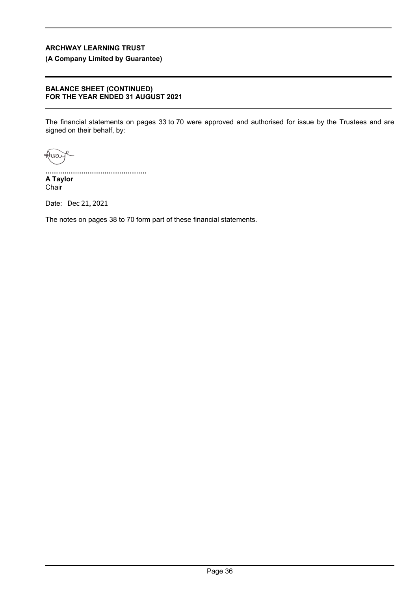# **(A Company Limited by Guarantee)**

#### **BALANCE SHEET (CONTINUED) FOR THE YEAR ENDED 31 AUGUST 2021**

The financial statements on pages 33 to 70 were approved and authorised for issue by the Trustees and are signed on their behalf, by:

Huai

................................................ **A Taylor** Chair

Date: Dec 21, 2021

The notes on pages 38 to 70 form part of these financial statements.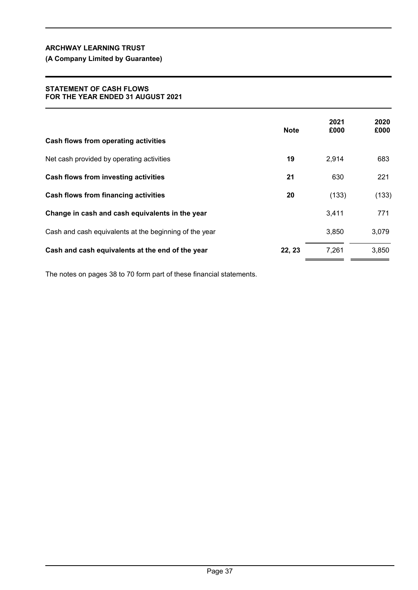# **(A Company Limited by Guarantee)**

### **STATEMENT OF CASH FLOWS FOR THE YEAR ENDED 31 AUGUST 2021**

|                                                        | <b>Note</b> | 2021<br>£000 | 2020<br>£000 |
|--------------------------------------------------------|-------------|--------------|--------------|
| Cash flows from operating activities                   |             |              |              |
| Net cash provided by operating activities              | 19          | 2,914        | 683          |
| Cash flows from investing activities                   | 21          | 630          | 221          |
| Cash flows from financing activities                   | 20          | (133)        | (133)        |
| Change in cash and cash equivalents in the year        |             | 3,411        | 771          |
| Cash and cash equivalents at the beginning of the year |             | 3,850        | 3,079        |
| Cash and cash equivalents at the end of the year       | 22, 23      | 7,261        | 3,850        |

The notes on pages 38 to 70 form part of these financial statements.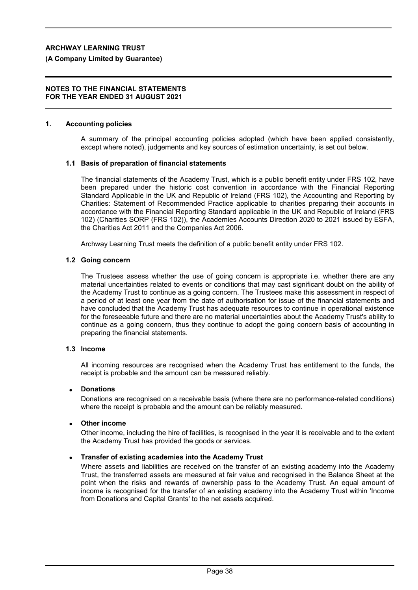### **(A Company Limited by Guarantee)**

#### **NOTES TO THE FINANCIAL STATEMENTS FOR THE YEAR ENDED 31 AUGUST 2021**

#### **1. Accounting policies**

A summary of the principal accounting policies adopted (which have been applied consistently, except where noted), judgements and key sources of estimation uncertainty, is set out below.

#### **1.1 Basis of preparation of financial statements**

The financial statements of the Academy Trust, which is a public benefit entity under FRS 102, have been prepared under the historic cost convention in accordance with the Financial Reporting Standard Applicable in the UK and Republic of Ireland (FRS 102), the Accounting and Reporting by Charities: Statement of Recommended Practice applicable to charities preparing their accounts in accordance with the Financial Reporting Standard applicable in the UK and Republic of Ireland (FRS 102) (Charities SORP (FRS 102)), the Academies Accounts Direction 2020 to 2021 issued by ESFA, the Charities Act 2011 and the Companies Act 2006.

Archway Learning Trust meets the definition of a public benefit entity under FRS 102.

#### **1.2 Going concern**

The Trustees assess whether the use of going concern is appropriate i.e. whether there are any material uncertainties related to events or conditions that may cast significant doubt on the ability of the Academy Trust to continue as a going concern. The Trustees make this assessment in respect of a period of at least one year from the date of authorisation for issue of the financial statements and have concluded that the Academy Trust has adequate resources to continue in operational existence for the foreseeable future and there are no material uncertainties about the Academy Trust's ability to continue as a going concern, thus they continue to adopt the going concern basis of accounting in preparing the financial statements.

### **1.3 Income**

All incoming resources are recognised when the Academy Trust has entitlement to the funds, the receipt is probable and the amount can be measured reliably.

#### **Donations**

Donations are recognised on a receivable basis (where there are no performance-related conditions) where the receipt is probable and the amount can be reliably measured.

#### **Other income**

Other income, including the hire of facilities, is recognised in the year it is receivable and to the extent the Academy Trust has provided the goods or services.

## **Transfer of existing academies into the Academy Trust**

Where assets and liabilities are received on the transfer of an existing academy into the Academy Trust, the transferred assets are measured at fair value and recognised in the Balance Sheet at the point when the risks and rewards of ownership pass to the Academy Trust. An equal amount of income is recognised for the transfer of an existing academy into the Academy Trust within 'Income from Donations and Capital Grants' to the net assets acquired.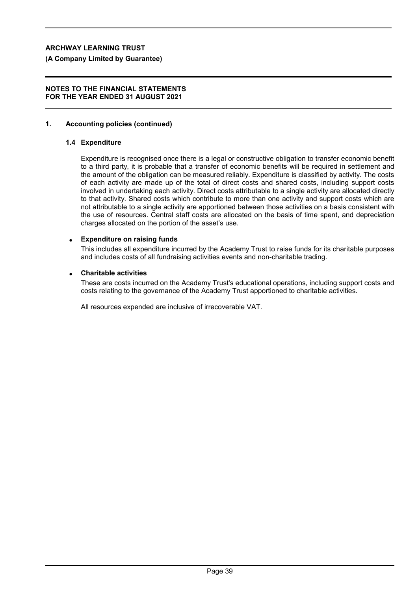### **(A Company Limited by Guarantee)**

#### **NOTES TO THE FINANCIAL STATEMENTS FOR THE YEAR ENDED 31 AUGUST 2021**

### **1. Accounting policies (continued)**

### **1.4 Expenditure**

Expenditure is recognised once there is a legal or constructive obligation to transfer economic benefit to a third party, it is probable that a transfer of economic benefits will be required in settlement and the amount of the obligation can be measured reliably. Expenditure is classified by activity. The costs of each activity are made up of the total of direct costs and shared costs, including support costs involved in undertaking each activity. Direct costs attributable to a single activity are allocated directly to that activity. Shared costs which contribute to more than one activity and support costs which are not attributable to a single activity are apportioned between those activities on a basis consistent with the use of resources. Central staff costs are allocated on the basis of time spent, and depreciation charges allocated on the portion of the asset's use.

#### **Expenditure on raising funds**

This includes all expenditure incurred by the Academy Trust to raise funds for its charitable purposes and includes costs of all fundraising activities events and non-charitable trading.

#### **Charitable activities**

These are costs incurred on the Academy Trust's educational operations, including support costs and costs relating to the governance of the Academy Trust apportioned to charitable activities.

All resources expended are inclusive of irrecoverable VAT.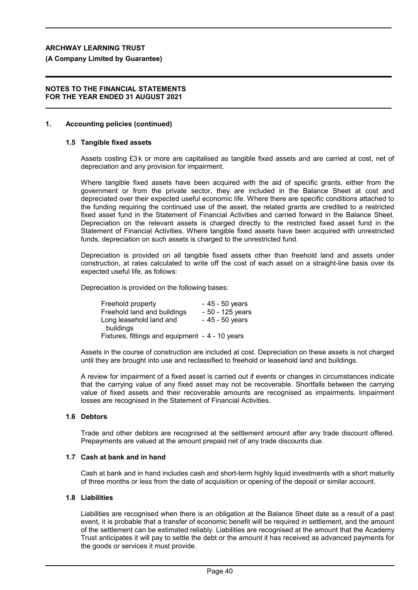**(A Company Limited by Guarantee)**

#### **NOTES TO THE FINANCIAL STATEMENTS FOR THE YEAR ENDED 31 AUGUST 2021**

### **1. Accounting policies (continued)**

#### **1.5 Tangible fixed assets**

Assets costing £3 k or more are capitalised as tangible fixed assets and are carried at cost, net of depreciation and any provision for impairment.

Where tangible fixed assets have been acquired with the aid of specific grants, either from the government or from the private sector, they are included in the Balance Sheet at cost and depreciated over their expected useful economic life. Where there are specific conditions attached to the funding requiring the continued use of the asset, the related grants are credited to a restricted fixed asset fund in the Statement of Financial Activities and carried forward in the Balance Sheet. Depreciation on the relevant assets is charged directly to the restricted fixed asset fund in the Statement of Financial Activities. Where tangible fixed assets have been acquired with unrestricted funds, depreciation on such assets is charged to the unrestricted fund.

Depreciation is provided on all tangible fixed assets other than freehold land and assets under construction, at rates calculated to write off the cost of each asset on a straight-line basis over its expected useful life, as follows:

Depreciation is provided on the following bases:

| Freehold property                               | - 45 - 50 years   |
|-------------------------------------------------|-------------------|
| Freehold land and buildings                     | $-50 - 125$ years |
| Long leasehold land and                         | $-45 - 50$ years  |
| buildings                                       |                   |
| Fixtures, fittings and equipment - 4 - 10 years |                   |

Assets in the course of construction are included at cost. Depreciation on these assets is not charged until they are brought into use and reclassified to freehold or leasehold land and buildings.

A review for impairment of a fixed asset is carried out if events or changes in circumstances indicate that the carrying value of any fixed asset may not be recoverable. Shortfalls between the carrying value of fixed assets and their recoverable amounts are recognised as impairments. Impairment losses are recognised in the Statement of Financial Activities.

#### **1.6 Debtors**

Trade and other debtors are recognised at the settlement amount after any trade discount offered. Prepayments are valued at the amount prepaid net of any trade discounts due.

## **1.7 Cash at bank and in hand**

Cash at bank and in hand includes cash and short-term highly liquid investments with a short maturity of three months or less from the date of acquisition or opening of the deposit or similar account.

#### **1.8 Liabilities**

Liabilities are recognised when there is an obligation at the Balance Sheet date as a result of a past event, it is probable that a transfer of economic benefit will be required in settlement, and the amount of the settlement can be estimated reliably. Liabilities are recognised at the amount that the Academy Trust anticipates it will pay to settle the debt or the amount it has received as advanced payments for the goods or services it must provide.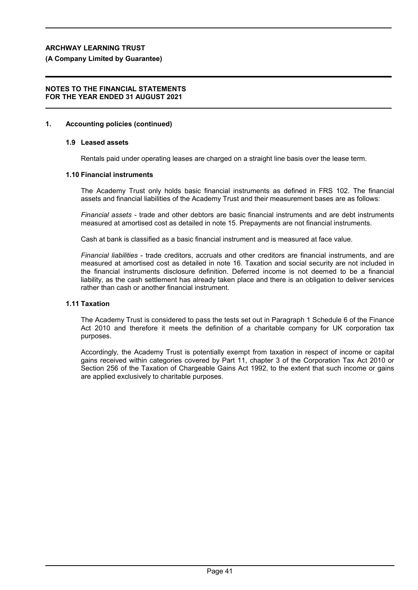#### **(A Company Limited by Guarantee)**

#### **NOTES TO THE FINANCIAL STATEMENTS FOR THE YEAR ENDED 31 AUGUST 2021**

#### **1. Accounting policies (continued)**

### **1.9 Leased assets**

Rentals paid under operating leases are charged on a straight line basis over the lease term.

### **1.10 Financial instruments**

The Academy Trust only holds basic financial instruments as defined in FRS 102. The financial assets and financial liabilities of the Academy Trust and their measurement bases are as follows:

*Financial assets* - trade and other debtors are basic financial instruments and are debt instruments measured at amortised cost as detailed in note 15. Prepayments are not financial instruments.

Cash at bank is classified as a basic financial instrument and is measured at face value.

*Financial liabilities* - trade creditors, accruals and other creditors are financial instruments, and are measured at amortised cost as detailed in note 16. Taxation and social security are not included in the financial instruments disclosure definition. Deferred income is not deemed to be a financial liability, as the cash settlement has already taken place and there is an obligation to deliver services rather than cash or another financial instrument.

### **1.11 Taxation**

The Academy Trust is considered to pass the tests set out in Paragraph 1 Schedule 6 of the Finance Act 2010 and therefore it meets the definition of a charitable company for UK corporation tax purposes.

Accordingly, the Academy Trust is potentially exempt from taxation in respect of income or capital gains received within categories covered by Part 11, chapter 3 of the Corporation Tax Act 2010 or Section 256 of the Taxation of Chargeable Gains Act 1992, to the extent that such income or gains are applied exclusively to charitable purposes.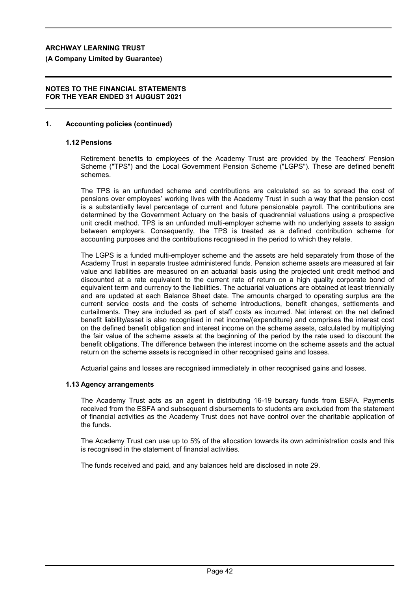**(A Company Limited by Guarantee)**

### **NOTES TO THE FINANCIAL STATEMENTS FOR THE YEAR ENDED 31 AUGUST 2021**

### **1. Accounting policies (continued)**

### **1.12 Pensions**

Retirement benefits to employees of the Academy Trust are provided by the Teachers' Pension Scheme ("TPS") and the Local Government Pension Scheme ("LGPS"). These are defined benefit schemes.

The TPS is an unfunded scheme and contributions are calculated so as to spread the cost of pensions over employees' working lives with the Academy Trust in such a way that the pension cost is a substantially level percentage of current and future pensionable payroll. The contributions are determined by the Government Actuary on the basis of quadrennial valuations using a prospective unit credit method. TPS is an unfunded multi-employer scheme with no underlying assets to assign between employers. Consequently, the TPS is treated as a defined contribution scheme for accounting purposes and the contributions recognised in the period to which they relate.

The LGPS is a funded multi-employer scheme and the assets are held separately from those of the Academy Trust in separate trustee administered funds. Pension scheme assets are measured at fair value and liabilities are measured on an actuarial basis using the projected unit credit method and discounted at a rate equivalent to the current rate of return on a high quality corporate bond of equivalent term and currency to the liabilities. The actuarial valuations are obtained at least triennially and are updated at each Balance Sheet date. The amounts charged to operating surplus are the current service costs and the costs of scheme introductions, benefit changes, settlements and curtailments. They are included as part of staff costs as incurred. Net interest on the net defined benefit liability/asset is also recognised in net income/(expenditure) and comprises the interest cost on the defined benefit obligation and interest income on the scheme assets, calculated by multiplying the fair value of the scheme assets at the beginning of the period by the rate used to discount the benefit obligations. The difference between the interest income on the scheme assets and the actual return on the scheme assets is recognised in other recognised gains and losses.

Actuarial gains and losses are recognised immediately in other recognised gains and losses.

#### **1.13 Agency arrangements**

The Academy Trust acts as an agent in distributing 16-19 bursary funds from ESFA. Payments received from the ESFA and subsequent disbursements to students are excluded from the statement of financial activities as the Academy Trust does not have control over the charitable application of the funds.

The Academy Trust can use up to 5% of the allocation towards its own administration costs and this is recognised in the statement of financial activities.

The funds received and paid, and any balances held are disclosed in note 29.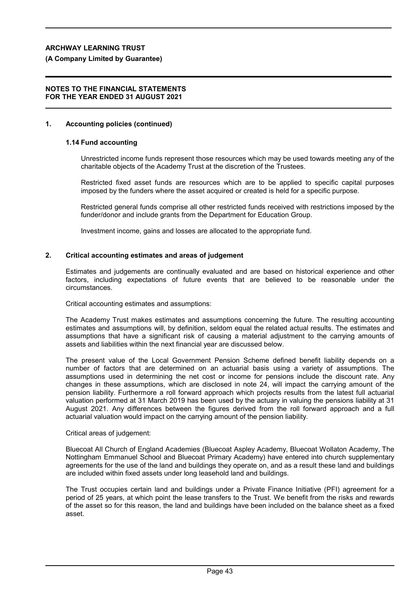### **(A Company Limited by Guarantee)**

#### **NOTES TO THE FINANCIAL STATEMENTS FOR THE YEAR ENDED 31 AUGUST 2021**

#### **1. Accounting policies (continued)**

#### **1.14 Fund accounting**

Unrestricted income funds represent those resources which may be used towards meeting any of the charitable objects of the Academy Trust at the discretion of the Trustees.

Restricted fixed asset funds are resources which are to be applied to specific capital purposes imposed by the funders where the asset acquired or created is held for a specific purpose.

Restricted general funds comprise all other restricted funds received with restrictions imposed by the funder/donor and include grants from the Department for Education Group.

Investment income, gains and losses are allocated to the appropriate fund.

#### **2. Critical accounting estimates and areas of judgement**

Estimates and judgements are continually evaluated and are based on historical experience and other factors, including expectations of future events that are believed to be reasonable under the circumstances.

Critical accounting estimates and assumptions:

The Academy Trust makes estimates and assumptions concerning the future. The resulting accounting estimates and assumptions will, by definition, seldom equal the related actual results. The estimates and assumptions that have a significant risk of causing a material adjustment to the carrying amounts of assets and liabilities within the next financial year are discussed below.

The present value of the Local Government Pension Scheme defined benefit liability depends on a number of factors that are determined on an actuarial basis using a variety of assumptions. The assumptions used in determining the net cost or income for pensions include the discount rate. Any changes in these assumptions, which are disclosed in note 24, will impact the carrying amount of the pension liability. Furthermore a roll forward approach which projects results from the latest full actuarial valuation performed at 31 March 2019 has been used by the actuary in valuing the pensions liability at 31 August 2021. Any differences between the figures derived from the roll forward approach and a full actuarial valuation would impact on the carrying amount of the pension liability.

#### Critical areas of judgement:

Bluecoat All Church of England Academies (Bluecoat Aspley Academy, Bluecoat Wollaton Academy, The Nottingham Emmanuel School and Bluecoat Primary Academy) have entered into church supplementary agreements for the use of the land and buildings they operate on, and as a result these land and buildings are included within fixed assets under long leasehold land and buildings.

The Trust occupies certain land and buildings under a Private Finance Initiative (PFI) agreement for a period of 25 years, at which point the lease transfers to the Trust. We benefit from the risks and rewards of the asset so for this reason, the land and buildings have been included on the balance sheet as a fixed asset.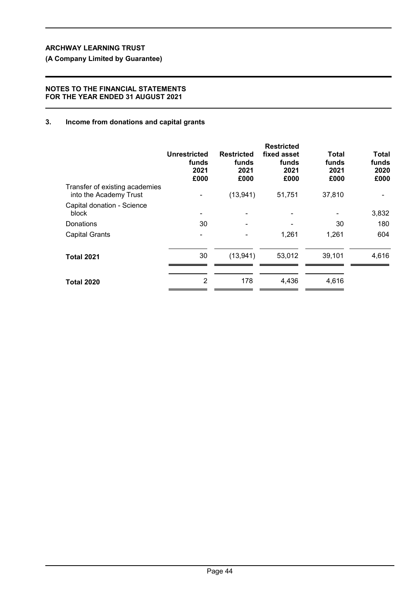**(A Company Limited by Guarantee)**

## **NOTES TO THE FINANCIAL STATEMENTS FOR THE YEAR ENDED 31 AUGUST 2021**

# **3. Income from donations and capital grants**

|                                                          | <b>Unrestricted</b><br>funds<br>2021<br>£000 | <b>Restricted</b><br>funds<br>2021<br>£000 | <b>Restricted</b><br>fixed asset<br>funds<br>2021<br>£000 | Total<br>funds<br>2021<br>£000 | <b>Total</b><br>funds<br>2020<br>£000 |
|----------------------------------------------------------|----------------------------------------------|--------------------------------------------|-----------------------------------------------------------|--------------------------------|---------------------------------------|
| Transfer of existing academies<br>into the Academy Trust |                                              | (13, 941)                                  | 51,751                                                    | 37,810                         |                                       |
| Capital donation - Science<br>block                      |                                              |                                            |                                                           |                                | 3,832                                 |
| Donations                                                | 30                                           |                                            |                                                           | 30                             | 180                                   |
| <b>Capital Grants</b>                                    |                                              |                                            | 1,261                                                     | 1,261                          | 604                                   |
| <b>Total 2021</b>                                        | 30                                           | (13, 941)                                  | 53,012                                                    | 39,101                         | 4,616                                 |
| <b>Total 2020</b>                                        | $\overline{2}$                               | 178                                        | 4,436                                                     | 4,616                          |                                       |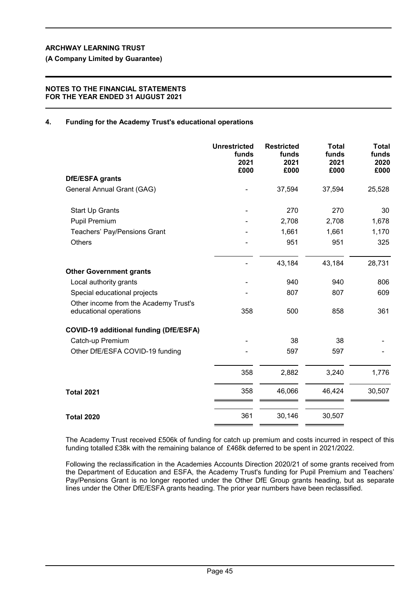**(A Company Limited by Guarantee)**

## **NOTES TO THE FINANCIAL STATEMENTS FOR THE YEAR ENDED 31 AUGUST 2021**

# **4. Funding for the Academy Trust's educational operations**

|                                                                 | <b>Unrestricted</b><br>funds<br>2021<br>£000 | <b>Restricted</b><br>funds<br>2021<br>£000 | <b>Total</b><br>funds<br>2021<br>£000 | <b>Total</b><br>funds<br>2020<br>£000 |
|-----------------------------------------------------------------|----------------------------------------------|--------------------------------------------|---------------------------------------|---------------------------------------|
| <b>DfE/ESFA grants</b>                                          |                                              |                                            |                                       |                                       |
| General Annual Grant (GAG)                                      |                                              | 37,594                                     | 37,594                                | 25,528                                |
| <b>Start Up Grants</b>                                          |                                              | 270                                        | 270                                   | 30                                    |
| Pupil Premium                                                   |                                              | 2,708                                      | 2,708                                 | 1,678                                 |
| Teachers' Pay/Pensions Grant                                    |                                              | 1,661                                      | 1,661                                 | 1,170                                 |
| <b>Others</b>                                                   |                                              | 951                                        | 951                                   | 325                                   |
|                                                                 |                                              | 43,184                                     | 43,184                                | 28,731                                |
| <b>Other Government grants</b>                                  |                                              |                                            |                                       |                                       |
| Local authority grants                                          |                                              | 940                                        | 940                                   | 806                                   |
| Special educational projects                                    |                                              | 807                                        | 807                                   | 609                                   |
| Other income from the Academy Trust's<br>educational operations | 358                                          | 500                                        | 858                                   | 361                                   |
| <b>COVID-19 additional funding (DfE/ESFA)</b>                   |                                              |                                            |                                       |                                       |
| Catch-up Premium                                                |                                              | 38                                         | 38                                    |                                       |
| Other DfE/ESFA COVID-19 funding                                 |                                              | 597                                        | 597                                   |                                       |
|                                                                 | 358                                          | 2,882                                      | 3,240                                 | 1,776                                 |
| <b>Total 2021</b>                                               | 358                                          | 46,066                                     | 46,424                                | 30,507                                |
| <b>Total 2020</b>                                               | 361                                          | 30,146                                     | 30,507                                |                                       |

The Academy Trust received £506k of funding for catch up premium and costs incurred in respect of this funding totalled £38k with the remaining balance of £468k deferred to be spent in 2021/2022.

Following the reclassification in the Academies Accounts Direction 2020/21 of some grants received from the Department of Education and ESFA, the Academy Trust's funding for Pupil Premium and Teachers' Pay/Pensions Grant is no longer reported under the Other DfE Group grants heading, but as separate lines under the Other DfE/ESFA grants heading. The prior year numbers have been reclassified.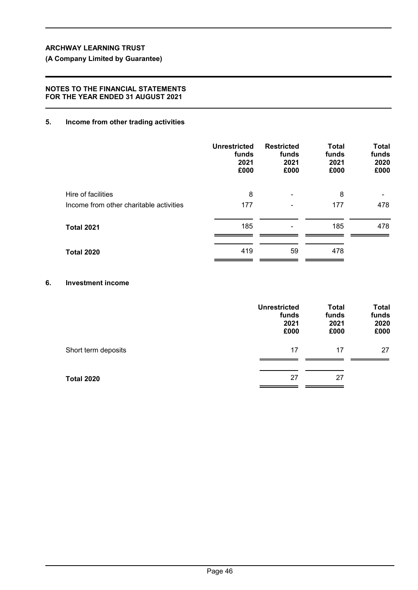# **(A Company Limited by Guarantee)**

## **NOTES TO THE FINANCIAL STATEMENTS FOR THE YEAR ENDED 31 AUGUST 2021**

## **5. Income from other trading activities**

|                                         | <b>Unrestricted</b><br>funds<br>2021<br>£000 | <b>Restricted</b><br>funds<br>2021<br>£000 | <b>Total</b><br>funds<br>2021<br>£000 | <b>Total</b><br>funds<br>2020<br>£000 |
|-----------------------------------------|----------------------------------------------|--------------------------------------------|---------------------------------------|---------------------------------------|
| Hire of facilities                      | 8                                            |                                            | 8                                     | -                                     |
| Income from other charitable activities | 177                                          |                                            | 177                                   | 478                                   |
| <b>Total 2021</b>                       | 185                                          |                                            | 185                                   | 478                                   |
| <b>Total 2020</b>                       | 419                                          | 59                                         | 478                                   |                                       |

# **6. Investment income**

|                     | <b>Unrestricted</b><br>funds<br>2021<br>£000 | <b>Total</b><br>funds<br>2021<br>£000 | <b>Total</b><br>funds<br>2020<br>£000 |
|---------------------|----------------------------------------------|---------------------------------------|---------------------------------------|
| Short term deposits | 17                                           | 17                                    | 27                                    |
| <b>Total 2020</b>   | 27                                           | 27                                    |                                       |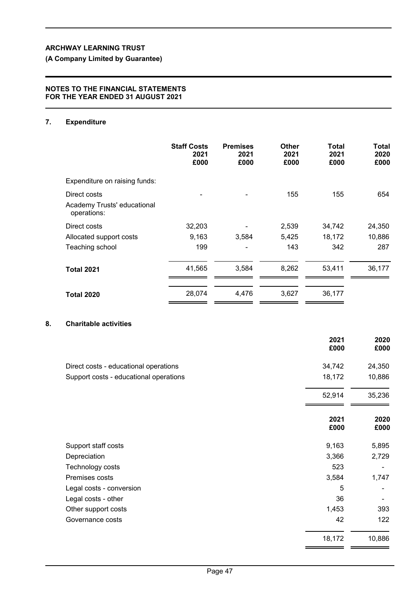# **(A Company Limited by Guarantee)**

### **NOTES TO THE FINANCIAL STATEMENTS FOR THE YEAR ENDED 31 AUGUST 2021**

# **7. Expenditure**

|                                            | <b>Staff Costs</b><br>2021<br>£000 | <b>Premises</b><br>2021<br>£000 | <b>Other</b><br>2021<br>£000 | Total<br>2021<br>£000 | Total<br>2020<br>£000 |
|--------------------------------------------|------------------------------------|---------------------------------|------------------------------|-----------------------|-----------------------|
| Expenditure on raising funds:              |                                    |                                 |                              |                       |                       |
| Direct costs                               |                                    |                                 | 155                          | 155                   | 654                   |
| Academy Trusts' educational<br>operations: |                                    |                                 |                              |                       |                       |
| Direct costs                               | 32,203                             |                                 | 2,539                        | 34,742                | 24,350                |
| Allocated support costs                    | 9,163                              | 3,584                           | 5,425                        | 18,172                | 10,886                |
| Teaching school                            | 199                                |                                 | 143                          | 342                   | 287                   |
| <b>Total 2021</b>                          | 41,565                             | 3,584                           | 8,262                        | 53,411                | 36,177                |
| <b>Total 2020</b>                          | 28,074                             | 4.476                           | 3,627                        | 36,177                |                       |

# **8. Charitable activities**

|                                        | 2021<br>£000 | 2020<br>£000 |
|----------------------------------------|--------------|--------------|
| Direct costs - educational operations  | 34,742       | 24,350       |
| Support costs - educational operations | 18,172       | 10,886       |
|                                        | 52,914       | 35,236       |
|                                        | 2021<br>£000 | 2020<br>£000 |
| Support staff costs                    | 9,163        | 5,895        |
| Depreciation                           | 3,366        | 2,729        |
| Technology costs                       | 523          | -            |
| Premises costs                         | 3,584        | 1,747        |
| Legal costs - conversion               | 5            |              |
| Legal costs - other                    | 36           |              |
| Other support costs                    | 1,453        | 393          |
| Governance costs                       | 42           | 122          |
|                                        | 18,172       | 10,886       |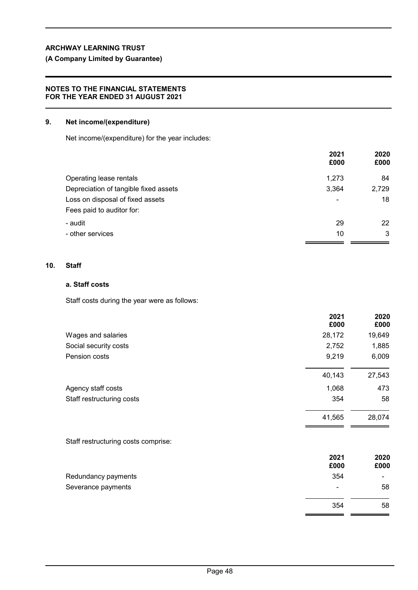# **(A Company Limited by Guarantee)**

### **NOTES TO THE FINANCIAL STATEMENTS FOR THE YEAR ENDED 31 AUGUST 2021**

### **9. Net income/(expenditure)**

Net income/(expenditure) for the year includes:

|                                       | 2021<br>£000             | 2020<br>£000 |
|---------------------------------------|--------------------------|--------------|
| Operating lease rentals               | 1,273                    | 84           |
| Depreciation of tangible fixed assets | 3,364                    | 2,729        |
| Loss on disposal of fixed assets      | $\overline{\phantom{0}}$ | 18           |
| Fees paid to auditor for:             |                          |              |
| - audit                               | 29                       | 22           |
| - other services                      | 10                       | 3            |
|                                       |                          |              |

## **10. Staff**

# **a. Staff costs**

Staff costs during the year were as follows:

|                           | 2021<br>£000 | 2020<br>£000 |
|---------------------------|--------------|--------------|
| Wages and salaries        | 28,172       | 19,649       |
| Social security costs     | 2,752        | 1,885        |
| Pension costs             | 9,219        | 6,009        |
|                           | 40,143       | 27,543       |
| Agency staff costs        | 1,068        | 473          |
| Staff restructuring costs | 354          | 58           |
|                           | 41,565       | 28,074       |
|                           |              |              |

Staff restructuring costs comprise:

|                     | 2021<br>£000   | 2020<br>£000 |
|---------------------|----------------|--------------|
| Redundancy payments | 354            | -            |
| Severance payments  | $\blacksquare$ | 58           |
|                     | 354            | 58           |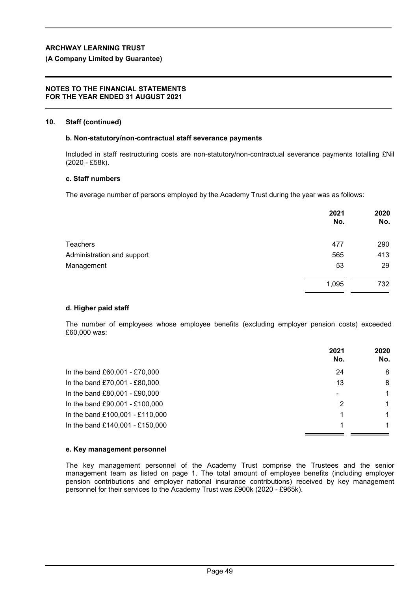### **(A Company Limited by Guarantee)**

#### **NOTES TO THE FINANCIAL STATEMENTS FOR THE YEAR ENDED 31 AUGUST 2021**

#### **10. Staff (continued)**

#### **b. Non-statutory/non-contractual staff severance payments**

Included in staff restructuring costs are non-statutory/non-contractual severance payments totalling £Nil (2020 - £58k).

#### **c. Staff numbers**

The average number of persons employed by the Academy Trust during the year was as follows:

|                            | 2021<br>No. | 2020<br>No. |
|----------------------------|-------------|-------------|
| <b>Teachers</b>            | 477         | 290         |
| Administration and support | 565         | 413         |
| Management                 | 53          | 29          |
|                            | 1,095       | 732         |
|                            |             |             |

#### **d. Higher paid staff**

The number of employees whose employee benefits (excluding employer pension costs) exceeded £60,000 was:

|                                 | 2021<br>No. | 2020<br>No. |
|---------------------------------|-------------|-------------|
| In the band £60,001 - £70,000   | 24          | 8           |
| In the band £70,001 - £80,000   | 13          | 8           |
| In the band £80,001 - £90,000   |             | 1           |
| In the band £90,001 - £100,000  | 2           | 1           |
| In the band £100,001 - £110,000 |             |             |
| In the band £140,001 - £150,000 |             |             |

#### **e. Key management personnel**

The key management personnel of the Academy Trust comprise the Trustees and the senior management team as listed on page 1. The total amount of employee benefits (including employer pension contributions and employer national insurance contributions) received by key management personnel for their services to the Academy Trust was £900k (2020 *-* £965k).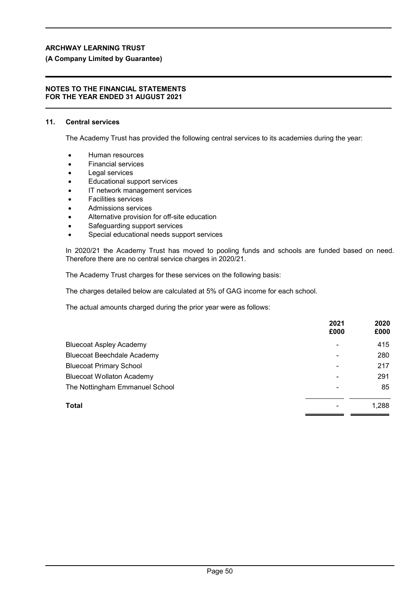## **(A Company Limited by Guarantee)**

#### **NOTES TO THE FINANCIAL STATEMENTS FOR THE YEAR ENDED 31 AUGUST 2021**

#### **11. Central services**

The Academy Trust has provided the following central services to its academies during the year:

- Human resources
- Financial services
- Legal services
- Educational support services
- IT network management services
- Facilities services
- Admissions services
- Alternative provision for off-site education
- Safeguarding support services
- Special educational needs support services

In 2020/21 the Academy Trust has moved to pooling funds and schools are funded based on need. Therefore there are no central service charges in 2020/21.

The Academy Trust charges for these services on the following basis:

The charges detailed below are calculated at 5% of GAG income for each school.

The actual amounts charged during the prior year were as follows:

|                                   | 2021<br>£000 | 2020<br>£000 |
|-----------------------------------|--------------|--------------|
| <b>Bluecoat Aspley Academy</b>    | ۰            | 415          |
| <b>Bluecoat Beechdale Academy</b> | ۰            | 280          |
| <b>Bluecoat Primary School</b>    |              | 217          |
| <b>Bluecoat Wollaton Academy</b>  | -            | 291          |
| The Nottingham Emmanuel School    | ۰            | 85           |
| <b>Total</b>                      |              | 1,288        |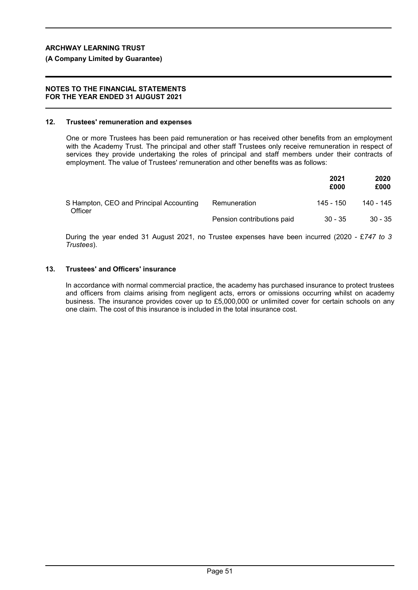### **(A Company Limited by Guarantee)**

#### **NOTES TO THE FINANCIAL STATEMENTS FOR THE YEAR ENDED 31 AUGUST 2021**

#### **12. Trustees' remuneration and expenses**

One or more Trustees has been paid remuneration or has received other benefits from an employment with the Academy Trust. The principal and other staff Trustees only receive remuneration in respect of services they provide undertaking the roles of principal and staff members under their contracts of employment. The value of Trustees' remuneration and other benefits was as follows:

|                                                    |                            | 2021<br>£000 | 2020<br>£000 |
|----------------------------------------------------|----------------------------|--------------|--------------|
| S Hampton, CEO and Principal Accounting<br>Officer | Remuneration               | 145 - 150    | 140 - 145    |
|                                                    | Pension contributions paid | $30 - 35$    | $30 - 35$    |

During the year ended 31 August 2021, no Trustee expenses have been incurred (2020 - £*747 to 3 Trustees*).

### **13. Trustees' and Officers' insurance**

In accordance with normal commercial practice, the academy has purchased insurance to protect trustees and officers from claims arising from negligent acts, errors or omissions occurring whilst on academy business. The insurance provides cover up to £5,000,000 or unlimited cover for certain schools on any one claim. The cost of this insurance is included in the total insurance cost.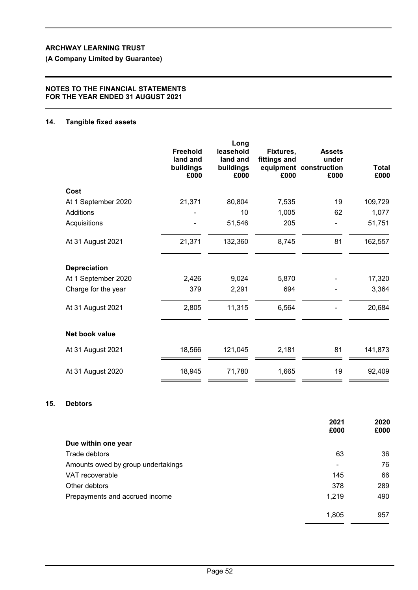**(A Company Limited by Guarantee)**

## **NOTES TO THE FINANCIAL STATEMENTS FOR THE YEAR ENDED 31 AUGUST 2021**

## **14. Tangible fixed assets**

|                     | Freehold<br>land and<br>buildings<br>£000 | Long<br>leasehold<br>land and<br>buildings<br>£000 | Fixtures,<br>fittings and<br>£000 | <b>Assets</b><br>under<br>equipment construction<br>£000 | <b>Total</b><br>£000 |
|---------------------|-------------------------------------------|----------------------------------------------------|-----------------------------------|----------------------------------------------------------|----------------------|
| Cost                |                                           |                                                    |                                   |                                                          |                      |
| At 1 September 2020 | 21,371                                    | 80,804                                             | 7,535                             | 19                                                       | 109,729              |
| <b>Additions</b>    |                                           | 10                                                 | 1,005                             | 62                                                       | 1,077                |
| Acquisitions        |                                           | 51,546                                             | 205                               |                                                          | 51,751               |
| At 31 August 2021   | 21,371                                    | 132,360                                            | 8,745                             | 81                                                       | 162,557              |
| <b>Depreciation</b> |                                           |                                                    |                                   |                                                          |                      |
| At 1 September 2020 | 2,426                                     | 9,024                                              | 5,870                             |                                                          | 17,320               |
| Charge for the year | 379                                       | 2,291                                              | 694                               |                                                          | 3,364                |
| At 31 August 2021   | 2,805                                     | 11,315                                             | 6,564                             |                                                          | 20,684               |
| Net book value      |                                           |                                                    |                                   |                                                          |                      |
| At 31 August 2021   | 18,566                                    | 121,045                                            | 2,181                             | 81                                                       | 141,873              |
| At 31 August 2020   | 18,945                                    | 71,780                                             | 1,665                             | 19                                                       | 92,409               |

# **15. Debtors**

|                                    | 2021<br>£000   | 2020<br>£000 |
|------------------------------------|----------------|--------------|
| Due within one year                |                |              |
| Trade debtors                      | 63             | 36           |
| Amounts owed by group undertakings | $\blacksquare$ | 76           |
| VAT recoverable                    | 145            | 66           |
| Other debtors                      | 378            | 289          |
| Prepayments and accrued income     | 1,219          | 490          |
|                                    | 1,805          | 957          |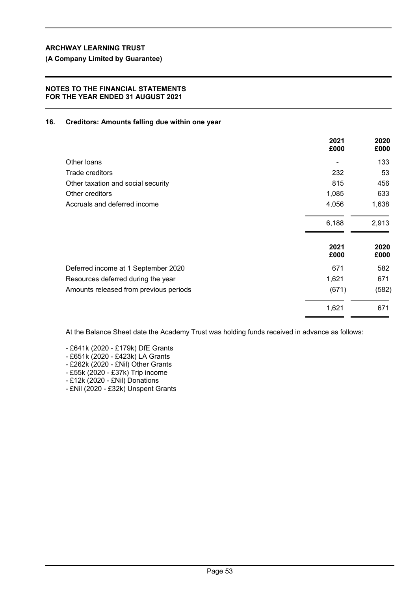## **NOTES TO THE FINANCIAL STATEMENTS FOR THE YEAR ENDED 31 AUGUST 2021**

## **16. Creditors: Amounts falling due within one year**

|                                        | 2021<br>£000 | 2020<br>£000 |
|----------------------------------------|--------------|--------------|
| Other loans                            |              | 133          |
| Trade creditors                        | 232          | 53           |
| Other taxation and social security     | 815          | 456          |
| Other creditors                        | 1,085        | 633          |
| Accruals and deferred income           | 4,056        | 1,638        |
|                                        | 6,188        | 2,913        |
|                                        | 2021<br>£000 | 2020<br>£000 |
| Deferred income at 1 September 2020    | 671          | 582          |
| Resources deferred during the year     | 1,621        | 671          |
| Amounts released from previous periods | (671)        | (582)        |
|                                        | 1,621        | 671          |

At the Balance Sheet date the Academy Trust was holding funds received in advance as follows:

- £641k (2020 £179k) DfE Grants
- £651k (2020 £423k) LA Grants
- £262k (2020 £Nil) Other Grants
- £55k (2020 £37k) Trip income
- £12k (2020 £Nil) Donations
- £Nil (2020 £32k) Unspent Grants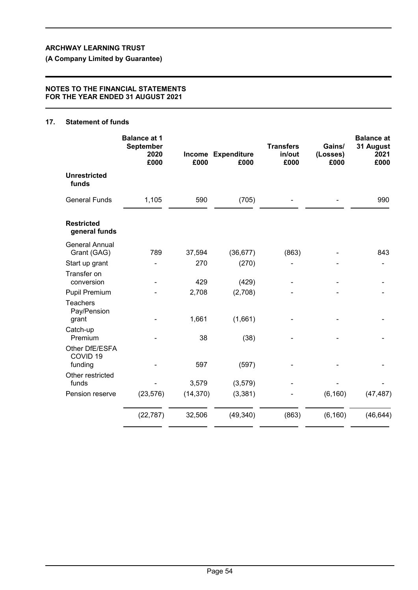**(A Company Limited by Guarantee)**

### **NOTES TO THE FINANCIAL STATEMENTS FOR THE YEAR ENDED 31 AUGUST 2021**

# **17. Statement of funds**

|                                                  | <b>Balance at 1</b><br><b>September</b><br>2020<br>£000 | £000      | Income Expenditure<br>£000 | <b>Transfers</b><br>in/out<br>£000 | Gains/<br>(Losses)<br>£000 | <b>Balance at</b><br>31 August<br>2021<br>£000 |
|--------------------------------------------------|---------------------------------------------------------|-----------|----------------------------|------------------------------------|----------------------------|------------------------------------------------|
| <b>Unrestricted</b><br>funds                     |                                                         |           |                            |                                    |                            |                                                |
| <b>General Funds</b>                             | 1,105                                                   | 590       | (705)                      |                                    |                            | 990                                            |
| <b>Restricted</b><br>general funds               |                                                         |           |                            |                                    |                            |                                                |
| <b>General Annual</b><br>Grant (GAG)             | 789                                                     | 37,594    | (36, 677)                  | (863)                              |                            | 843                                            |
| Start up grant                                   |                                                         | 270       | (270)                      |                                    |                            |                                                |
| Transfer on<br>conversion                        |                                                         | 429       | (429)                      |                                    |                            |                                                |
| <b>Pupil Premium</b>                             |                                                         | 2,708     | (2,708)                    |                                    |                            |                                                |
| Teachers<br>Pay/Pension<br>grant                 |                                                         | 1,661     | (1,661)                    |                                    |                            |                                                |
| Catch-up                                         |                                                         |           |                            |                                    |                            |                                                |
| Premium                                          |                                                         | 38        | (38)                       |                                    |                            |                                                |
| Other DfE/ESFA<br>COVID <sub>19</sub><br>funding |                                                         | 597       | (597)                      |                                    |                            |                                                |
| Other restricted<br>funds                        |                                                         | 3,579     | (3, 579)                   |                                    |                            |                                                |
| Pension reserve                                  | (23, 576)                                               | (14, 370) | (3, 381)                   |                                    | (6, 160)                   | (47, 487)                                      |
|                                                  | (22, 787)                                               | 32,506    | (49, 340)                  | (863)                              | (6, 160)                   | (46, 644)                                      |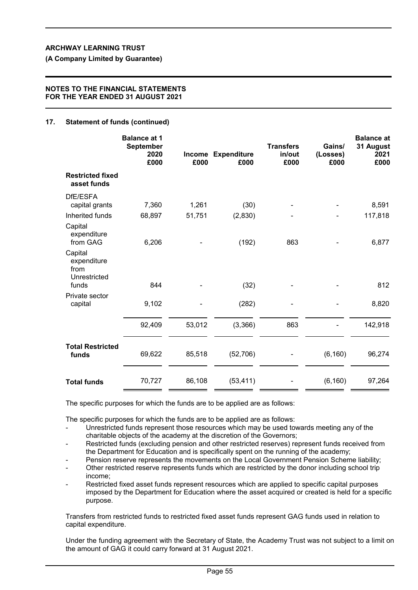**(A Company Limited by Guarantee)**

#### **NOTES TO THE FINANCIAL STATEMENTS FOR THE YEAR ENDED 31 AUGUST 2021**

### **17. Statement of funds (continued)**

|                                                         | <b>Balance at 1</b><br>September<br>2020<br>£000 | <b>Income</b><br>£000 | <b>Expenditure</b><br>£000 | <b>Transfers</b><br>in/out<br>£000 | Gains/<br>(Losses)<br>£000 | <b>Balance at</b><br>31 August<br>2021<br>£000 |
|---------------------------------------------------------|--------------------------------------------------|-----------------------|----------------------------|------------------------------------|----------------------------|------------------------------------------------|
| <b>Restricted fixed</b><br>asset funds                  |                                                  |                       |                            |                                    |                            |                                                |
| DfE/ESFA<br>capital grants                              | 7,360                                            | 1,261                 | (30)                       |                                    |                            | 8,591                                          |
| Inherited funds                                         | 68,897                                           | 51,751                | (2,830)                    |                                    |                            | 117,818                                        |
| Capital<br>expenditure<br>from GAG                      | 6,206                                            |                       | (192)                      | 863                                |                            | 6,877                                          |
| Capital<br>expenditure<br>from<br>Unrestricted<br>funds | 844                                              |                       | (32)                       |                                    |                            | 812                                            |
| Private sector<br>capital                               | 9,102                                            |                       | (282)                      |                                    |                            | 8,820                                          |
|                                                         | 92,409                                           | 53,012                | (3,366)                    | 863                                |                            | 142,918                                        |
| <b>Total Restricted</b><br>funds                        | 69,622                                           | 85,518                | (52, 706)                  |                                    | (6, 160)                   | 96,274                                         |
| <b>Total funds</b>                                      | 70,727                                           | 86,108                | (53, 411)                  |                                    | (6, 160)                   | 97,264                                         |

The specific purposes for which the funds are to be applied are as follows:

The specific purposes for which the funds are to be applied are as follows:

- Unrestricted funds represent those resources which may be used towards meeting any of the charitable objects of the academy at the discretion of the Governors;
- Restricted funds (excluding pension and other restricted reserves) represent funds received from the Department for Education and is specifically spent on the running of the academy;
- Pension reserve represents the movements on the Local Government Pension Scheme liability;
- Other restricted reserve represents funds which are restricted by the donor including school trip income;
- Restricted fixed asset funds represent resources which are applied to specific capital purposes imposed by the Department for Education where the asset acquired or created is held for a specific purpose.

Transfers from restricted funds to restricted fixed asset funds represent GAG funds used in relation to capital expenditure.

Under the funding agreement with the Secretary of State, the Academy Trust was not subject to a limit on the amount of GAG it could carry forward at 31 August 2021.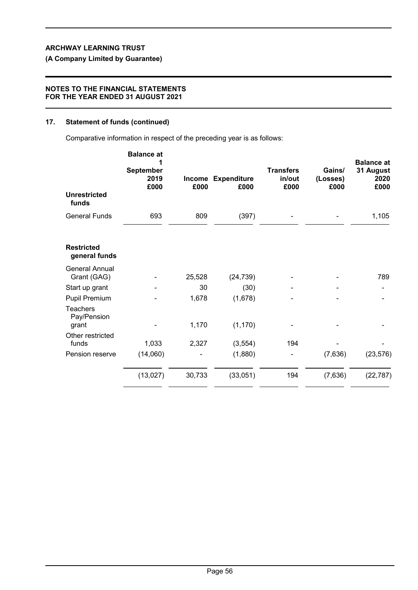# **(A Company Limited by Guarantee)**

## **NOTES TO THE FINANCIAL STATEMENTS FOR THE YEAR ENDED 31 AUGUST 2021**

# **17. Statement of funds (continued)**

Comparative information in respect of the preceding year is as follows:

| <b>Unrestricted</b>                     | <b>Balance at</b><br><b>September</b><br>2019<br>£000 | £000   | Income Expenditure<br>£000 | <b>Transfers</b><br>in/out<br>£000 | Gains/<br>(Losses)<br>£000 | <b>Balance at</b><br>31 August<br>2020<br>£000 |
|-----------------------------------------|-------------------------------------------------------|--------|----------------------------|------------------------------------|----------------------------|------------------------------------------------|
| funds                                   |                                                       |        |                            |                                    |                            |                                                |
| <b>General Funds</b>                    | 693                                                   | 809    | (397)                      |                                    |                            | 1,105                                          |
| <b>Restricted</b><br>general funds      |                                                       |        |                            |                                    |                            |                                                |
| <b>General Annual</b><br>Grant (GAG)    |                                                       | 25,528 | (24, 739)                  |                                    |                            | 789                                            |
| Start up grant                          |                                                       | 30     | (30)                       |                                    |                            |                                                |
| Pupil Premium                           |                                                       | 1,678  | (1,678)                    |                                    |                            |                                                |
| <b>Teachers</b><br>Pay/Pension<br>grant |                                                       | 1,170  | (1, 170)                   |                                    |                            |                                                |
| Other restricted<br>funds               | 1,033                                                 | 2,327  | (3, 554)                   | 194                                |                            |                                                |
| Pension reserve                         | (14,060)                                              |        | (1,880)                    |                                    | (7,636)                    | (23, 576)                                      |
|                                         | (13,027)                                              | 30,733 | (33,051)                   | 194                                | (7,636)                    | (22, 787)                                      |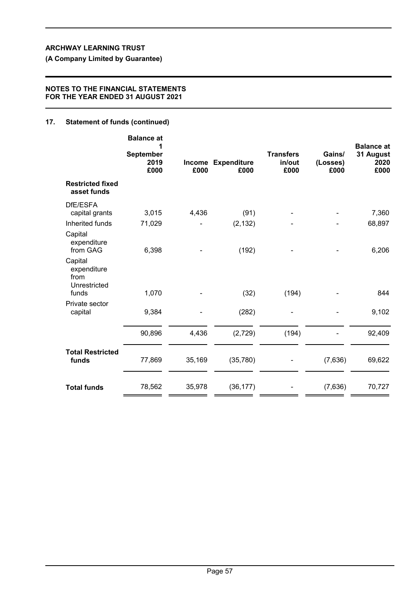**(A Company Limited by Guarantee)**

## **NOTES TO THE FINANCIAL STATEMENTS FOR THE YEAR ENDED 31 AUGUST 2021**

# **17. Statement of funds (continued)**

|                                                         | <b>Balance at</b><br><b>September</b><br>2019<br>£000 | £000   | Income Expenditure<br>£000 | <b>Transfers</b><br>in/out<br>£000 | Gains/<br>(Losses)<br>£000 | <b>Balance</b> at<br>31 August<br>2020<br>£000 |
|---------------------------------------------------------|-------------------------------------------------------|--------|----------------------------|------------------------------------|----------------------------|------------------------------------------------|
| <b>Restricted fixed</b><br>asset funds                  |                                                       |        |                            |                                    |                            |                                                |
| DfE/ESFA<br>capital grants<br>Inherited funds           | 3,015<br>71,029                                       | 4,436  | (91)<br>(2, 132)           |                                    |                            | 7,360<br>68,897                                |
| Capital<br>expenditure<br>from GAG                      | 6,398                                                 |        | (192)                      |                                    |                            | 6,206                                          |
| Capital<br>expenditure<br>from<br>Unrestricted<br>funds | 1,070                                                 |        | (32)                       | (194)                              |                            | 844                                            |
| Private sector<br>capital                               | 9,384                                                 |        | (282)                      |                                    |                            | 9,102                                          |
|                                                         | 90,896                                                | 4,436  | (2,729)                    | (194)                              |                            | 92,409                                         |
| <b>Total Restricted</b><br>funds                        | 77,869                                                | 35,169 | (35, 780)                  |                                    | (7,636)                    | 69,622                                         |
| <b>Total funds</b>                                      | 78,562                                                | 35,978 | (36, 177)                  |                                    | (7,636)                    | 70,727                                         |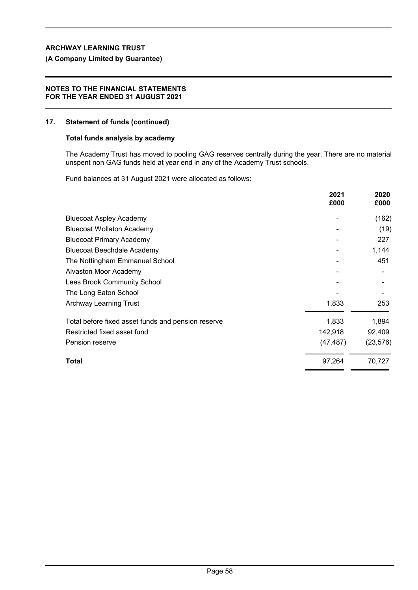## **(A Company Limited by Guarantee)**

### **NOTES TO THE FINANCIAL STATEMENTS FOR THE YEAR ENDED 31 AUGUST 2021**

#### **17. Statement of funds (continued)**

## **Total funds analysis by academy**

The Academy Trust has moved to pooling GAG reserves centrally during the year. There are no material unspent non GAG funds held at year end in any of the Academy Trust schools.

Fund balances at 31 August 2021 were allocated as follows:

|                                                    | 2021<br>£000 | 2020<br>£000 |
|----------------------------------------------------|--------------|--------------|
| <b>Bluecoat Aspley Academy</b>                     |              | (162)        |
| <b>Bluecoat Wollaton Academy</b>                   |              | (19)         |
| <b>Bluecoat Primary Academy</b>                    |              | 227          |
| <b>Bluecoat Beechdale Academy</b>                  |              | 1,144        |
| The Nottingham Emmanuel School                     |              | 451          |
| Alvaston Moor Academy                              |              |              |
| Lees Brook Community School                        |              |              |
| The Long Eaton School                              |              |              |
| <b>Archway Learning Trust</b>                      | 1,833        | 253          |
| Total before fixed asset funds and pension reserve | 1,833        | 1,894        |
| Restricted fixed asset fund                        | 142,918      | 92,409       |
| Pension reserve                                    | (47, 487)    | (23, 576)    |
| Total                                              | 97,264       | 70,727       |
|                                                    |              |              |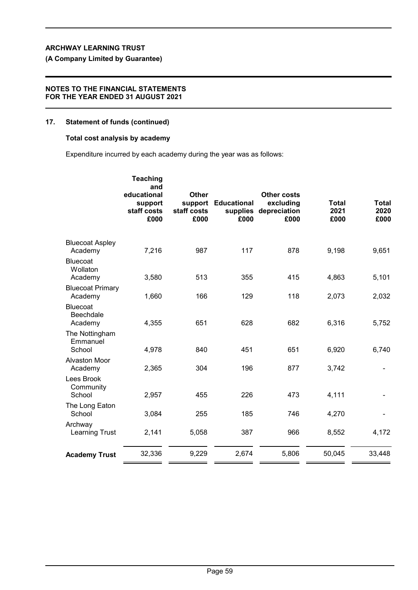# **(A Company Limited by Guarantee)**

## **NOTES TO THE FINANCIAL STATEMENTS FOR THE YEAR ENDED 31 AUGUST 2021**

# **17. Statement of funds (continued)**

## **Total cost analysis by academy**

Expenditure incurred by each academy during the year was as follows:

|                                         | <b>Teaching</b><br>and<br>educational<br>support<br>staff costs<br>£000 | <b>Other</b><br>staff costs<br>£000 | support Educational<br>supplies<br>£000 | <b>Other costs</b><br>excluding<br>depreciation<br>£000 | <b>Total</b><br>2021<br>£000 | Total<br>2020<br>£000 |
|-----------------------------------------|-------------------------------------------------------------------------|-------------------------------------|-----------------------------------------|---------------------------------------------------------|------------------------------|-----------------------|
| <b>Bluecoat Aspley</b><br>Academy       | 7,216                                                                   | 987                                 | 117                                     | 878                                                     | 9,198                        | 9,651                 |
| Bluecoat<br>Wollaton<br>Academy         | 3,580                                                                   | 513                                 | 355                                     | 415                                                     | 4,863                        | 5,101                 |
| <b>Bluecoat Primary</b><br>Academy      | 1,660                                                                   | 166                                 | 129                                     | 118                                                     | 2,073                        | 2,032                 |
| <b>Bluecoat</b><br>Beechdale<br>Academy | 4,355                                                                   | 651                                 | 628                                     | 682                                                     | 6,316                        | 5,752                 |
| The Nottingham<br>Emmanuel<br>School    | 4,978                                                                   | 840                                 | 451                                     | 651                                                     | 6,920                        | 6,740                 |
| <b>Alvaston Moor</b><br>Academy         | 2,365                                                                   | 304                                 | 196                                     | 877                                                     | 3,742                        |                       |
| Lees Brook<br>Community<br>School       | 2,957                                                                   | 455                                 | 226                                     | 473                                                     | 4,111                        |                       |
| The Long Eaton<br>School                | 3,084                                                                   | 255                                 | 185                                     | 746                                                     | 4,270                        |                       |
| Archway<br><b>Learning Trust</b>        | 2,141                                                                   | 5,058                               | 387                                     | 966                                                     | 8,552                        | 4,172                 |
| <b>Academy Trust</b>                    | 32,336                                                                  | 9,229                               | 2,674                                   | 5,806                                                   | 50,045                       | 33,448                |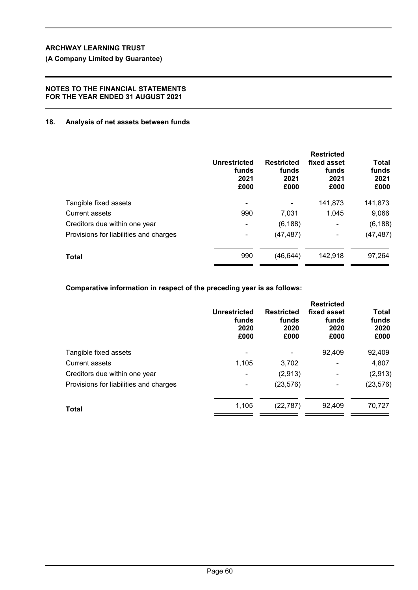## **NOTES TO THE FINANCIAL STATEMENTS FOR THE YEAR ENDED 31 AUGUST 2021**

## **18. Analysis of net assets between funds**

|                                        | <b>Unrestricted</b><br>funds<br>2021<br>£000 | <b>Restricted</b><br>funds<br>2021<br>£000 | <b>Restricted</b><br>fixed asset<br>funds<br>2021<br>£000 | Total<br>funds<br>2021<br>£000 |
|----------------------------------------|----------------------------------------------|--------------------------------------------|-----------------------------------------------------------|--------------------------------|
| Tangible fixed assets                  | -                                            |                                            | 141,873                                                   | 141,873                        |
| <b>Current assets</b>                  | 990                                          | 7,031                                      | 1,045                                                     | 9,066                          |
| Creditors due within one year          | -                                            | (6, 188)                                   | ۰                                                         | (6, 188)                       |
| Provisions for liabilities and charges |                                              | (47, 487)                                  | ۰                                                         | (47, 487)                      |
| Total                                  | 990                                          | (46, 644)                                  | 142,918                                                   | 97,264                         |

**Comparative information in respect of the preceding year is as follows:**

|                                        | Unrestricted<br>funds<br>2020<br>£000 | <b>Restricted</b><br>funds<br>2020<br>£000 | <b>Restricted</b><br>fixed asset<br>funds<br>2020<br>£000 | <b>Total</b><br>funds<br>2020<br>£000 |
|----------------------------------------|---------------------------------------|--------------------------------------------|-----------------------------------------------------------|---------------------------------------|
| Tangible fixed assets                  |                                       |                                            | 92,409                                                    | 92,409                                |
| Current assets                         | 1,105                                 | 3,702                                      | $\overline{\phantom{a}}$                                  | 4,807                                 |
| Creditors due within one year          | $\blacksquare$                        | (2,913)                                    | ۰                                                         | (2,913)                               |
| Provisions for liabilities and charges | ٠                                     | (23, 576)                                  | ۰                                                         | (23, 576)                             |
| Total                                  | 1,105                                 | (22, 787)                                  | 92,409                                                    | 70,727                                |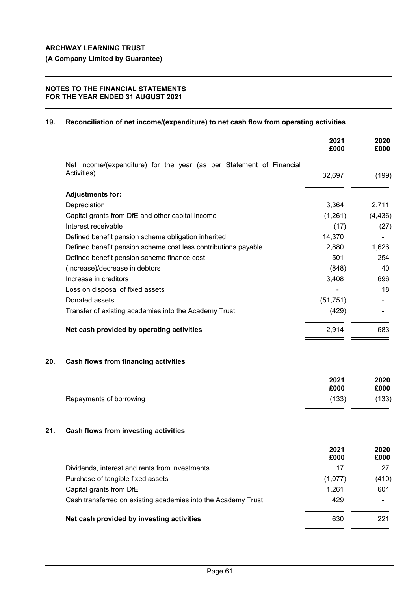# **NOTES TO THE FINANCIAL STATEMENTS FOR THE YEAR ENDED 31 AUGUST 2021**

# **19. Reconciliation of net income/(expenditure) to net cash flow from operating activities**

|                                                                                     | 2021<br>£000 | 2020<br>£000 |
|-------------------------------------------------------------------------------------|--------------|--------------|
| Net income/(expenditure) for the year (as per Statement of Financial<br>Activities) |              |              |
|                                                                                     | 32,697       | (199)        |
| <b>Adjustments for:</b>                                                             |              |              |
| Depreciation                                                                        | 3,364        | 2,711        |
| Capital grants from DfE and other capital income                                    | (1,261)      | (4, 436)     |
| Interest receivable                                                                 | (17)         | (27)         |
| Defined benefit pension scheme obligation inherited                                 | 14,370       |              |
| Defined benefit pension scheme cost less contributions payable                      | 2,880        | 1,626        |
| Defined benefit pension scheme finance cost                                         | 501          | 254          |
| (Increase)/decrease in debtors                                                      | (848)        | 40           |
| Increase in creditors                                                               | 3,408        | 696          |
| Loss on disposal of fixed assets                                                    |              | 18           |
| Donated assets                                                                      | (51, 751)    |              |
| Transfer of existing academies into the Academy Trust                               | (429)        |              |
| Net cash provided by operating activities                                           | 2,914        | 683          |
|                                                                                     |              |              |

# **20. Cash flows from financing activities**

|                         | 2021<br>£000 | 2020<br>£000 |
|-------------------------|--------------|--------------|
| Repayments of borrowing | (133)        | (133)        |

# **21. Cash flows from investing activities**

|                                                               | 2021<br>£000 | 2020<br>£000   |
|---------------------------------------------------------------|--------------|----------------|
| Dividends, interest and rents from investments                | 17           | 27             |
| Purchase of tangible fixed assets                             | (1,077)      | (410)          |
| Capital grants from DfE                                       | 1.261        | 604            |
| Cash transferred on existing academies into the Academy Trust | 429          | $\blacksquare$ |
| Net cash provided by investing activities                     | 630          | 221            |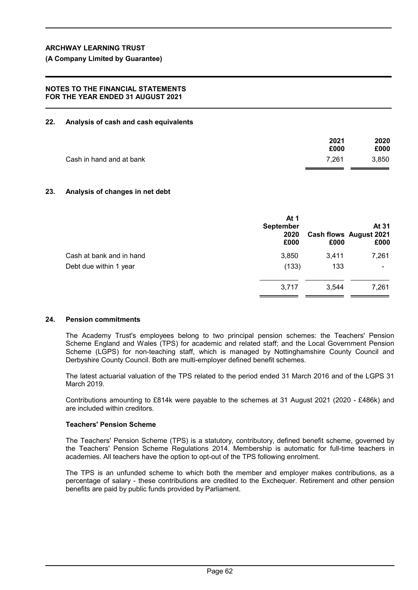# **NOTES TO THE FINANCIAL STATEMENTS FOR THE YEAR ENDED 31 AUGUST 2021**

# **22. Analysis of cash and cash equivalents**

|                          | 2021  | 2020  |
|--------------------------|-------|-------|
|                          | £000  | £000  |
| Cash in hand and at bank | 7.261 | 3.850 |
|                          |       |       |

# **23. Analysis of changes in net debt**

|                          | At 1<br><b>September</b><br>2020<br>£000 | £000  | At 31<br>Cash flows August 2021<br>£000 |
|--------------------------|------------------------------------------|-------|-----------------------------------------|
| Cash at bank and in hand | 3,850                                    | 3,411 | 7,261                                   |
| Debt due within 1 year   | (133)                                    | 133   |                                         |
|                          | 3.717                                    | 3,544 | 7,261                                   |
|                          |                                          |       |                                         |

# **24. Pension commitments**

The Academy Trust's employees belong to two principal pension schemes: the Teachers' Pension Scheme England and Wales (TPS) for academic and related staff; and the Local Government Pension Scheme (LGPS) for non-teaching staff, which is managed by Nottinghamshire County Council and Derbyshire County Council. Both are multi-employer defined benefit schemes.

The latest actuarial valuation of the TPS related to the period ended 31 March 2016 and of the LGPS 31 March 2019.

Contributions amounting to £814k were payable to the schemes at 31 August 2021 (2020 - £486k) and are included within creditors.

# **Teachers' Pension Scheme**

The Teachers' Pension Scheme (TPS) is a statutory, contributory, defined benefit scheme, governed by the Teachers' Pension Scheme Regulations 2014. Membership is automatic for full-time teachers in academies. All teachers have the option to opt-out of the TPS following enrolment.

The TPS is an unfunded scheme to which both the member and employer makes contributions, as a percentage of salary - these contributions are credited to the Exchequer. Retirement and other pension benefits are paid by public funds provided by Parliament.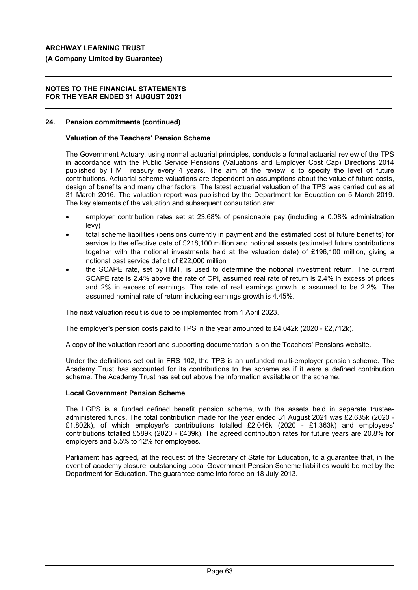## **(A Company Limited by Guarantee)**

#### **NOTES TO THE FINANCIAL STATEMENTS FOR THE YEAR ENDED 31 AUGUST 2021**

### **24. Pension commitments (continued)**

#### **Valuation of the Teachers' Pension Scheme**

The Government Actuary, using normal actuarial principles, conducts a formal actuarial review of the TPS in accordance with the Public Service Pensions (Valuations and Employer Cost Cap) Directions 2014 published by HM Treasury every 4 years. The aim of the review is to specify the level of future contributions. Actuarial scheme valuations are dependent on assumptions about the value of future costs, design of benefits and many other factors. The latest actuarial valuation of the TPS was carried out as at 31 March 2016. The valuation report was published by the Department for Education on 5 March 2019. The key elements of the valuation and subsequent consultation are:

- employer contribution rates set at 23.68% of pensionable pay (including a 0.08% administration levy)
- total scheme liabilities (pensions currently in payment and the estimated cost of future benefits) for service to the effective date of £218,100 million and notional assets (estimated future contributions together with the notional investments held at the valuation date) of £196,100 million, giving a notional past service deficit of £22,000 million
- the SCAPE rate, set by HMT, is used to determine the notional investment return. The current SCAPE rate is 2.4% above the rate of CPI, assumed real rate of return is 2.4% in excess of prices and 2% in excess of earnings. The rate of real earnings growth is assumed to be 2.2%. The assumed nominal rate of return including earnings growth is 4.45%.

The next valuation result is due to be implemented from 1 April 2023.

The employer's pension costs paid to TPS in the year amounted to £4,042k (2020 - £2,712k).

A copy of the valuation report and supporting documentation is on the Teachers' Pensions website.

Under the definitions set out in FRS 102, the TPS is an unfunded multi-employer pension scheme. The Academy Trust has accounted for its contributions to the scheme as if it were a defined contribution scheme. The Academy Trust has set out above the information available on the scheme.

## **Local Government Pension Scheme**

The LGPS is a funded defined benefit pension scheme, with the assets held in separate trusteeadministered funds. The total contribution made for the year ended 31 August 2021 was £2,635k (2020 - £1,802k), of which employer's contributions totalled £2,046k (2020 - £1,363k) and employees' contributions totalled £589k (2020 - £439k). The agreed contribution rates for future years are 20.8% for employers and 5.5% to 12% for employees.

Parliament has agreed, at the request of the Secretary of State for Education, to a guarantee that, in the event of academy closure, outstanding Local Government Pension Scheme liabilities would be met by the Department for Education. The guarantee came into force on 18 July 2013.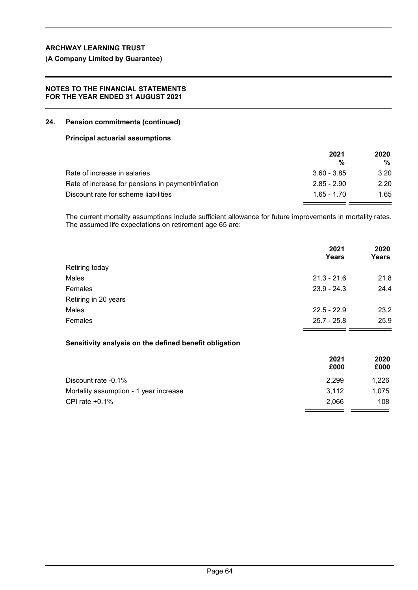**(A Company Limited by Guarantee)**

## **NOTES TO THE FINANCIAL STATEMENTS FOR THE YEAR ENDED 31 AUGUST 2021**

### **24. Pension commitments (continued)**

### **Principal actuarial assumptions**

|                                                    | 2021          | 2020 |
|----------------------------------------------------|---------------|------|
|                                                    | %             | %    |
| Rate of increase in salaries                       | $3.60 - 3.85$ | 3.20 |
| Rate of increase for pensions in payment/inflation | $2.85 - 2.90$ | 2.20 |
| Discount rate for scheme liabilities               | $1.65 - 1.70$ | 1.65 |

The current mortality assumptions include sufficient allowance for future improvements in mortality rates. The assumed life expectations on retirement age 65 are:

|                                                        | 2021<br>Years | 2020<br><b>Years</b> |
|--------------------------------------------------------|---------------|----------------------|
| Retiring today                                         |               |                      |
| Males                                                  | $21.3 - 21.6$ | 21.8                 |
| Females                                                | $23.9 - 24.3$ | 24.4                 |
| Retiring in 20 years                                   |               |                      |
| Males                                                  | $22.5 - 22.9$ | 23.2                 |
| Females                                                | $25.7 - 25.8$ | 25.9                 |
| Sensitivity analysis on the defined benefit obligation |               |                      |
|                                                        | 2021<br>£000  | 2020<br>£000         |
| Discount rate -0.1%                                    | 2,299         | 1,226                |

Mortality assumption - 1 year increase 3,112 and 3,112 CPI rate +0.1% 2.066 108

 $\equiv$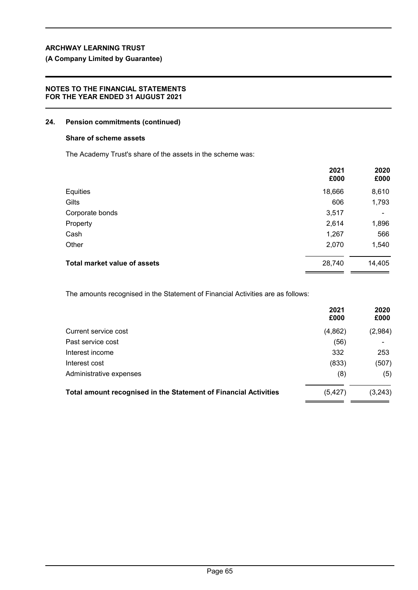# **(A Company Limited by Guarantee)**

## **NOTES TO THE FINANCIAL STATEMENTS FOR THE YEAR ENDED 31 AUGUST 2021**

## **24. Pension commitments (continued)**

#### **Share of scheme assets**

The Academy Trust's share of the assets in the scheme was:

|                                     | 2021<br>£000 | 2020<br>£000 |
|-------------------------------------|--------------|--------------|
| Equities                            | 18,666       | 8,610        |
| Gilts                               | 606          | 1,793        |
| Corporate bonds                     | 3,517        | ۰            |
| Property                            | 2,614        | 1,896        |
| Cash                                | 1,267        | 566          |
| Other                               | 2,070        | 1,540        |
| <b>Total market value of assets</b> | 28,740       | 14,405       |

The amounts recognised in the Statement of Financial Activities are as follows:

|                                                                  | 2021<br>£000 | 2020<br>£000 |
|------------------------------------------------------------------|--------------|--------------|
| Current service cost                                             | (4,862)      | (2,984)      |
| Past service cost                                                | (56)         |              |
| Interest income                                                  | 332          | 253          |
| Interest cost                                                    | (833)        | (507)        |
| Administrative expenses                                          | (8)          | (5)          |
| Total amount recognised in the Statement of Financial Activities | (5, 427)     | (3, 243)     |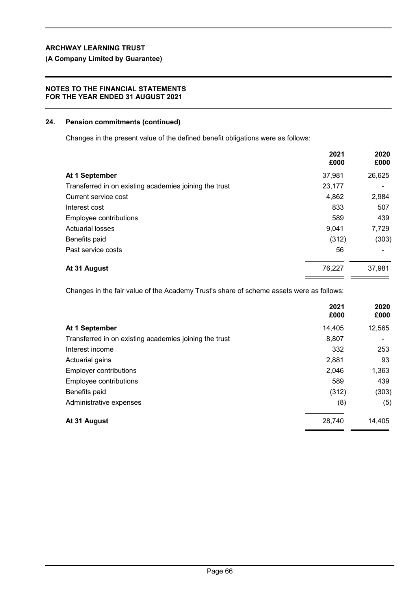# **(A Company Limited by Guarantee)**

## **NOTES TO THE FINANCIAL STATEMENTS FOR THE YEAR ENDED 31 AUGUST 2021**

### **24. Pension commitments (continued)**

Changes in the present value of the defined benefit obligations were as follows:

|                                                        | 2021<br>£000 | 2020<br>£000 |
|--------------------------------------------------------|--------------|--------------|
| At 1 September                                         | 37,981       | 26,625       |
| Transferred in on existing academies joining the trust | 23,177       |              |
| Current service cost                                   | 4,862        | 2,984        |
| Interest cost                                          | 833          | 507          |
| Employee contributions                                 | 589          | 439          |
| <b>Actuarial losses</b>                                | 9,041        | 7,729        |
| Benefits paid                                          | (312)        | (303)        |
| Past service costs                                     | 56           |              |
| At 31 August                                           | 76,227       | 37,981       |

Changes in the fair value of the Academy Trust's share of scheme assets were as follows:

|                                                        | 2021<br>£000 | 2020<br>£000 |
|--------------------------------------------------------|--------------|--------------|
| At 1 September                                         | 14,405       | 12,565       |
| Transferred in on existing academies joining the trust | 8,807        |              |
| Interest income                                        | 332          | 253          |
| Actuarial gains                                        | 2,881        | 93           |
| <b>Employer contributions</b>                          | 2,046        | 1,363        |
| Employee contributions                                 | 589          | 439          |
| Benefits paid                                          | (312)        | (303)        |
| Administrative expenses                                | (8)          | (5)          |
| At 31 August                                           | 28,740       | 14,405       |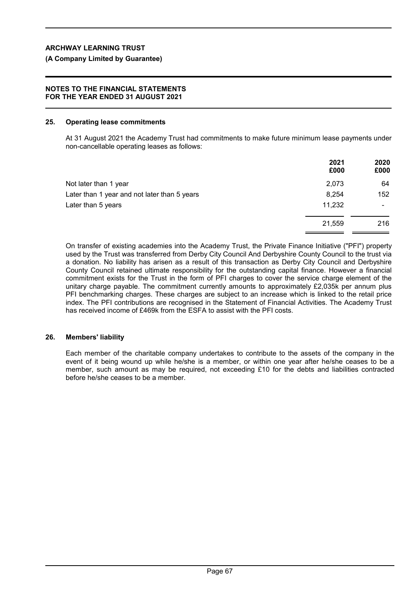## **(A Company Limited by Guarantee)**

### **NOTES TO THE FINANCIAL STATEMENTS FOR THE YEAR ENDED 31 AUGUST 2021**

#### **25. Operating lease commitments**

At 31 August 2021 the Academy Trust had commitments to make future minimum lease payments under non-cancellable operating leases as follows:

|                                              | 2021<br>£000 | 2020<br>£000   |
|----------------------------------------------|--------------|----------------|
| Not later than 1 year                        | 2,073        | 64             |
| Later than 1 year and not later than 5 years | 8,254        | 152            |
| Later than 5 years                           | 11,232       | $\blacksquare$ |
|                                              | 21,559       | 216            |
|                                              |              |                |

On transfer of existing academies into the Academy Trust, the Private Finance Initiative ("PFI") property used by the Trust was transferred from Derby City Council And Derbyshire County Council to the trust via a donation. No liability has arisen as a result of this transaction as Derby City Council and Derbyshire County Council retained ultimate responsibility for the outstanding capital finance. However a financial commitment exists for the Trust in the form of PFI charges to cover the service charge element of the unitary charge payable. The commitment currently amounts to approximately £2,035k per annum plus PFI benchmarking charges. These charges are subject to an increase which is linked to the retail price index. The PFI contributions are recognised in the Statement of Financial Activities. The Academy Trust has received income of £469k from the ESFA to assist with the PFI costs.

## **26. Members' liability**

Each member of the charitable company undertakes to contribute to the assets of the company in the event of it being wound up while he/she is a member, or within one year after he/she ceases to be a member, such amount as may be required, not exceeding £10 for the debts and liabilities contracted before he/she ceases to be a member.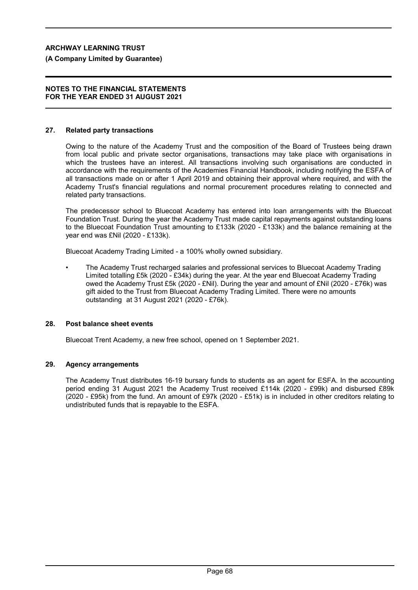**(A Company Limited by Guarantee)**

#### **NOTES TO THE FINANCIAL STATEMENTS FOR THE YEAR ENDED 31 AUGUST 2021**

#### **27. Related party transactions**

Owing to the nature of the Academy Trust and the composition of the Board of Trustees being drawn from local public and private sector organisations, transactions may take place with organisations in which the trustees have an interest. All transactions involving such organisations are conducted in accordance with the requirements of the Academies Financial Handbook, including notifying the ESFA of all transactions made on or after 1 April 2019 and obtaining their approval where required, and with the Academy Trust's financial regulations and normal procurement procedures relating to connected and related party transactions.

The predecessor school to Bluecoat Academy has entered into loan arrangements with the Bluecoat Foundation Trust. During the year the Academy Trust made capital repayments against outstanding loans to the Bluecoat Foundation Trust amounting to £133k (2020 - £133k) and the balance remaining at the year end was £Nil (2020 - £133k).

Bluecoat Academy Trading Limited - a 100% wholly owned subsidiary.

• The Academy Trust recharged salaries and professional services to Bluecoat Academy Trading Limited totalling £5k (2020 - £34k) during the year. At the year end Bluecoat Academy Trading owed the Academy Trust £5k (2020 - £Nil). During the year and amount of £Nil (2020 - £76k) was gift aided to the Trust from Bluecoat Academy Trading Limited. There were no amounts outstanding at 31 August 2021 (2020 - £76k).

#### **28. Post balance sheet events**

Bluecoat Trent Academy, a new free school, opened on 1 September 2021.

## **29. Agency arrangements**

The Academy Trust distributes 16-19 bursary funds to students as an agent for ESFA. In the accounting period ending 31 August 2021 the Academy Trust received £114k (2020 - £99k) and disbursed £89k (2020 - £95k) from the fund. An amount of £97k (2020 - £51k) is in included in other creditors relating to undistributed funds that is repayable to the ESFA.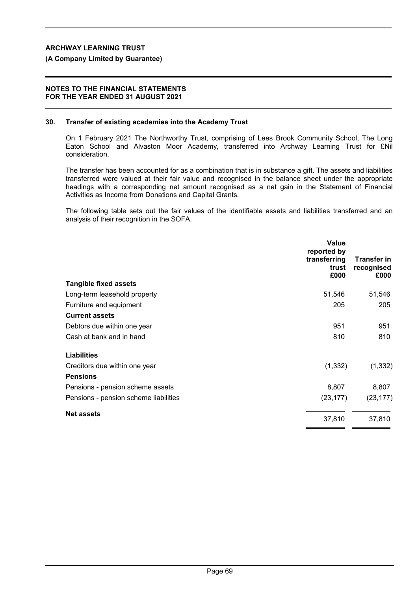#### **(A Company Limited by Guarantee)**

#### **NOTES TO THE FINANCIAL STATEMENTS FOR THE YEAR ENDED 31 AUGUST 2021**

#### **30. Transfer of existing academies into the Academy Trust**

On 1 February 2021 The Northworthy Trust, comprising of Lees Brook Community School, The Long Eaton School and Alvaston Moor Academy, transferred into Archway Learning Trust for £Nil consideration.

The transfer has been accounted for as a combination that is in substance a gift. The assets and liabilities transferred were valued at their fair value and recognised in the balance sheet under the appropriate headings with a corresponding net amount recognised as a net gain in the Statement of Financial Activities as Income from Donations and Capital Grants.

The following table sets out the fair values of the identifiable assets and liabilities transferred and an analysis of their recognition in the SOFA.

|                                       | <b>Value</b><br>reported by<br>transferring<br>trust<br>£000 | <b>Transfer in</b><br>recognised<br>£000 |
|---------------------------------------|--------------------------------------------------------------|------------------------------------------|
| <b>Tangible fixed assets</b>          |                                                              |                                          |
| Long-term leasehold property          | 51,546                                                       | 51,546                                   |
| Furniture and equipment               | 205                                                          | 205                                      |
| <b>Current assets</b>                 |                                                              |                                          |
| Debtors due within one year           | 951                                                          | 951                                      |
| Cash at bank and in hand              | 810                                                          | 810                                      |
| <b>Liabilities</b>                    |                                                              |                                          |
| Creditors due within one year         | (1, 332)                                                     | (1, 332)                                 |
| <b>Pensions</b>                       |                                                              |                                          |
| Pensions - pension scheme assets      | 8,807                                                        | 8,807                                    |
| Pensions - pension scheme liabilities | (23, 177)                                                    | (23, 177)                                |
| <b>Net assets</b>                     | 37,810                                                       | 37,810                                   |